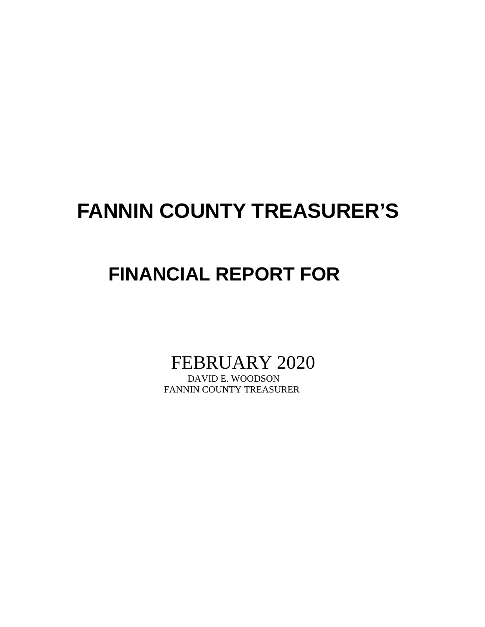# **FANNIN COUNTY TREASURER'S**

## **FINANCIAL REPORT FOR**

FEBRUARY 2020<br>DAVID E. WOODSON

FANNIN COUNTY TREASURER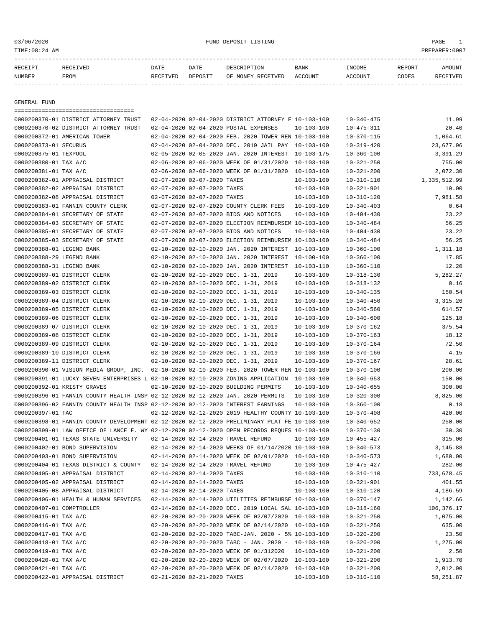### 03/06/2020 FUND DEPOSIT LISTING PAGE 1

| アムレム   |      | DATE   | ∩∆ጥ∏<br>--- |     | <b>BANK</b> | REPORT |  |
|--------|------|--------|-------------|-----|-------------|--------|--|
| NUMBER | FROM | חת זדר |             | ЪF. | OTINE.      | CODES  |  |

------------- ------------------------- ---------- ---------- ------------------- -------------- -------------- ------ ------------

GENERAL FUND

|                             | =====================================                                                        |                             |                                                                 |                  |                  |              |
|-----------------------------|----------------------------------------------------------------------------------------------|-----------------------------|-----------------------------------------------------------------|------------------|------------------|--------------|
|                             | 0000200370-01 DISTRICT ATTORNEY TRUST                                                        |                             | 02-04-2020 02-04-2020 DISTRICT ATTORNEY F 10-103-100            |                  | $10 - 340 - 475$ | 11.99        |
|                             | 0000200370-02 DISTRICT ATTORNEY TRUST                                                        |                             | 02-04-2020 02-04-2020 POSTAL EXPENSES                           | $10 - 103 - 100$ | $10 - 475 - 311$ | 20.40        |
|                             | 0000200372-01 AMERICAN TOWER                                                                 |                             | 02-04-2020 02-04-2020 FEB. 2020 TOWER REN 10-103-100            |                  | $10 - 370 - 115$ | 1,064.61     |
| 0000200373-01 SECURUS       |                                                                                              |                             | 02-04-2020 02-04-2020 DEC. 2019 JAIL PAY 10-103-100             |                  | $10 - 319 - 420$ | 23,677.96    |
| 0000200375-01 TEXPOOL       |                                                                                              |                             | 02-05-2020 02-05-2020 JAN. 2020 INTEREST                        | 10-103-175       | $10 - 360 - 100$ | 3,391.29     |
| 0000200380-01 TAX A/C       |                                                                                              |                             | 02-06-2020 02-06-2020 WEEK OF 01/31/2020                        | $10 - 103 - 100$ | $10 - 321 - 250$ | 755.00       |
| 0000200381-01 TAX A/C       |                                                                                              |                             | 02-06-2020 02-06-2020 WEEK OF 01/31/2020                        | 10-103-100       | $10 - 321 - 200$ | 2,072.30     |
|                             | 0000200382-01 APPRAISAL DISTRICT                                                             | 02-07-2020 02-07-2020 TAXES |                                                                 | $10 - 103 - 100$ | $10 - 310 - 110$ | 1,335,512.99 |
|                             | 0000200382-02 APPRAISAL DISTRICT                                                             | 02-07-2020 02-07-2020 TAXES |                                                                 | $10 - 103 - 100$ | $10 - 321 - 901$ | 10.00        |
|                             | 0000200382-08 APPRAISAL DISTRICT                                                             | 02-07-2020 02-07-2020 TAXES |                                                                 | $10 - 103 - 100$ | $10 - 310 - 120$ | 7,981.58     |
|                             | 0000200383-01 FANNIN COUNTY CLERK                                                            |                             | 02-07-2020 02-07-2020 COUNTY CLERK FEES                         | $10 - 103 - 100$ | $10 - 340 - 403$ | 0.64         |
|                             | 0000200384-01 SECRETARY OF STATE                                                             |                             | 02-07-2020 02-07-2020 BIDS AND NOTICES                          | $10 - 103 - 100$ | $10 - 404 - 430$ | 23.22        |
|                             | 0000200384-03 SECRETARY OF STATE                                                             |                             | 02-07-2020 02-07-2020 ELECTION REIMBURSEM 10-103-100            |                  | $10 - 340 - 484$ | 56.25        |
|                             | 0000200385-01 SECRETARY OF STATE                                                             |                             | 02-07-2020 02-07-2020 BIDS AND NOTICES                          | $10 - 103 - 100$ | $10 - 404 - 430$ | 23.22        |
|                             | 0000200385-03 SECRETARY OF STATE                                                             |                             | 02-07-2020 02-07-2020 ELECTION REIMBURSEM 10-103-100            |                  | $10 - 340 - 484$ | 56.25        |
| 0000200388-01 LEGEND BANK   |                                                                                              |                             | 02-10-2020 02-10-2020 JAN. 2020 INTEREST                        | 10-103-100       | $10 - 360 - 100$ | 1,311.18     |
| 0000200388-29 LEGEND BANK   |                                                                                              |                             | 02-10-2020 02-10-2020 JAN. 2020 INTEREST                        | 10-100-100       | $10 - 360 - 100$ | 17.85        |
| 0000200388-31 LEGEND BANK   |                                                                                              |                             | 02-10-2020 02-10-2020 JAN. 2020 INTEREST                        | $10 - 103 - 110$ | $10 - 360 - 110$ | 12.20        |
|                             | 0000200389-01 DISTRICT CLERK                                                                 |                             | 02-10-2020 02-10-2020 DEC. 1-31, 2019                           | $10 - 103 - 100$ | $10 - 318 - 130$ | 5,282.27     |
|                             | 0000200389-02 DISTRICT CLERK                                                                 |                             | 02-10-2020 02-10-2020 DEC. 1-31, 2019                           | $10 - 103 - 100$ | $10 - 318 - 132$ | 0.16         |
|                             | 0000200389-03 DISTRICT CLERK                                                                 |                             | 02-10-2020 02-10-2020 DEC. 1-31, 2019                           | $10 - 103 - 100$ | $10 - 340 - 135$ | 150.54       |
|                             | 0000200389-04 DISTRICT CLERK                                                                 |                             | 02-10-2020 02-10-2020 DEC. 1-31, 2019                           | $10 - 103 - 100$ | $10 - 340 - 450$ | 3, 315.26    |
|                             | 0000200389-05 DISTRICT CLERK                                                                 |                             | 02-10-2020 02-10-2020 DEC. 1-31, 2019                           | $10 - 103 - 100$ | $10 - 340 - 560$ | 614.57       |
|                             | 0000200389-06 DISTRICT CLERK                                                                 |                             | 02-10-2020 02-10-2020 DEC. 1-31, 2019                           | $10 - 103 - 100$ | $10 - 340 - 600$ | 125.18       |
|                             | 0000200389-07 DISTRICT CLERK                                                                 |                             | 02-10-2020 02-10-2020 DEC. 1-31, 2019                           | $10 - 103 - 100$ | $10 - 370 - 162$ | 375.54       |
|                             | 0000200389-08 DISTRICT CLERK                                                                 |                             | 02-10-2020 02-10-2020 DEC. 1-31, 2019                           | $10 - 103 - 100$ | $10 - 370 - 163$ | 18.12        |
|                             | 0000200389-09 DISTRICT CLERK                                                                 |                             | 02-10-2020 02-10-2020 DEC. 1-31, 2019                           | $10 - 103 - 100$ | $10 - 370 - 164$ | 72.50        |
|                             | 0000200389-10 DISTRICT CLERK                                                                 |                             | 02-10-2020 02-10-2020 DEC. 1-31, 2019                           | $10 - 103 - 100$ | $10 - 370 - 166$ | 4.15         |
|                             | 0000200389-11 DISTRICT CLERK                                                                 |                             | 02-10-2020 02-10-2020 DEC. 1-31, 2019                           | $10 - 103 - 100$ | $10 - 370 - 167$ | 28.61        |
|                             | 0000200390-01 VISION MEDIA GROUP, INC. 02-10-2020 02-10-2020 FEB. 2020 TOWER REN 10-103-100  |                             |                                                                 |                  | $10 - 370 - 100$ | 200.00       |
|                             | 0000200391-01 LUCKY SEVEN ENTERPRISES L 02-10-2020 02-10-2020 ZONING APPLICATION 10-103-100  |                             |                                                                 |                  | $10 - 340 - 653$ | 150.00       |
| 0000200392-01 KRISTY GRAVES |                                                                                              |                             | 02-10-2020 02-10-2020 BUILDING PERMITS                          | $10 - 103 - 100$ | $10 - 340 - 655$ | 300.00       |
|                             | 0000200396-01 FANNIN COUNTY HEALTH INSP 02-12-2020 02-12-2020 JAN. 2020 PERMITS              |                             |                                                                 | $10 - 103 - 100$ | $10 - 320 - 300$ | 8,825.00     |
|                             | 0000200396-02 FANNIN COUNTY HEALTH INSP 02-12-2020 02-12-2020 INTEREST EARNINGS              |                             |                                                                 | $10 - 103 - 100$ | $10 - 360 - 100$ | 0.18         |
| 0000200397-01 TAC           |                                                                                              |                             | 02-12-2020 02-12-2020 2019 HEALTHY COUNTY 10-103-100            |                  | $10 - 370 - 408$ | 420.00       |
|                             | 0000200398-01 FANNIN COUNTY DEVELOPMENT 02-12-2020 02-12-2020 PRELIMINARY PLAT FE 10-103-100 |                             |                                                                 |                  | $10 - 340 - 652$ | 250.00       |
|                             | 0000200399-01 LAW OFFICE OF LANCE F. WY 02-12-2020 02-12-2020 OPEN RECORDS REQUES 10-103-100 |                             |                                                                 |                  | $10 - 370 - 130$ | 30.30        |
|                             | 0000200401-01 TEXAS STATE UNIVERSITY                                                         |                             | 02-14-2020 02-14-2020 TRAVEL REFUND                             | 10-103-100       | $10 - 455 - 427$ | 315.00       |
|                             | 0000200402-01 BOND SUPERVISION                                                               |                             | 02-14-2020 02-14-2020 WEEKS OF 01/14/2020 10-103-100            |                  | $10 - 340 - 573$ | 3,145.88     |
|                             | 0000200403-01 BOND SUPERVISION                                                               |                             | 02-14-2020 02-14-2020 WEEK OF 02/01/2020 10-103-100             |                  | $10 - 340 - 573$ | 1,680.00     |
|                             | 0000200404-01 TEXAS DISTRICT & COUNTY 02-14-2020 02-14-2020 TRAVEL REFUND                    |                             |                                                                 | 10-103-100       | $10 - 475 - 427$ | 282.00       |
|                             | 0000200405-01 APPRAISAL DISTRICT                                                             | 02-14-2020 02-14-2020 TAXES |                                                                 |                  |                  | 733,678.45   |
|                             |                                                                                              | 02-14-2020 02-14-2020 TAXES |                                                                 | $10 - 103 - 100$ | $10 - 310 - 110$ |              |
|                             | 0000200405-02 APPRAISAL DISTRICT                                                             |                             |                                                                 | $10 - 103 - 100$ | $10 - 321 - 901$ | 401.55       |
|                             | 0000200405-08 APPRAISAL DISTRICT<br>0000200406-01 HEALTH & HUMAN SERVICES                    | 02-14-2020 02-14-2020 TAXES |                                                                 | $10 - 103 - 100$ | $10 - 310 - 120$ | 4,186.59     |
|                             |                                                                                              |                             | 02-14-2020 02-14-2020 UTILITIES REIMBURSE 10-103-100            |                  | $10 - 370 - 147$ | 1,142.66     |
| 0000200407-01 COMPTROLLER   |                                                                                              |                             | 02-14-2020 02-14-2020 DEC. 2019 LOCAL SAL 10-103-100            |                  | $10 - 318 - 160$ | 106,376.17   |
| 0000200415-01 TAX A/C       |                                                                                              |                             | 02-20-2020 02-20-2020 WEEK OF 02/07/2020 10-103-100             |                  | $10 - 321 - 250$ | 1,075.00     |
| 0000200416-01 TAX A/C       |                                                                                              |                             | 02-20-2020 02-20-2020 WEEK OF 02/14/2020 10-103-100             |                  | $10 - 321 - 250$ | 635.00       |
| 0000200417-01 TAX A/C       |                                                                                              |                             | $02-20-2020$ $02-20-2020$ TABC-JAN. 2020 - 5% $10-103-100$      |                  | $10 - 320 - 200$ | 23.50        |
| 0000200418-01 TAX A/C       |                                                                                              |                             | $02 - 20 - 2020$ $02 - 20 - 2020$ TABC - JAN. 2020 - 10-103-100 |                  | $10 - 320 - 200$ | 1,275.00     |
| 0000200419-01 TAX A/C       |                                                                                              |                             | 02-20-2020 02-20-2020 WEEK OF 01/312020                         | $10 - 103 - 100$ | $10 - 321 - 200$ | 2.50         |
| 0000200420-01 TAX A/C       |                                                                                              |                             | 02-20-2020 02-20-2020 WEEK OF 02/07/2020 10-103-100             |                  | $10 - 321 - 200$ | 1,913.70     |
| 0000200421-01 TAX A/C       |                                                                                              |                             | 02-20-2020 02-20-2020 WEEK OF 02/14/2020 10-103-100             |                  | $10 - 321 - 200$ | 2,012.90     |
|                             | 0000200422-01 APPRAISAL DISTRICT                                                             | 02-21-2020 02-21-2020 TAXES |                                                                 | $10 - 103 - 100$ | $10 - 310 - 110$ | 58,251.87    |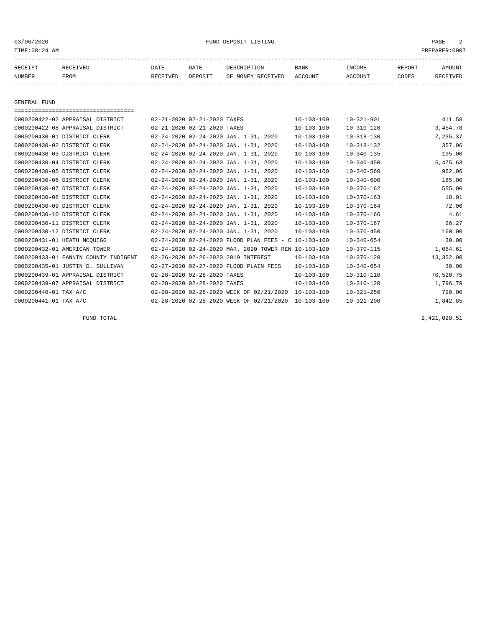### 03/06/2020 FUND DEPOSIT LISTING PAGE 2

| RECEIPT | RECEIVED | DATE     | DATE    | DESCRIPTION               | <b>BANK</b> | <b>TNCOME</b> | <b>REPORT</b> | <b>AMOUNT</b> |
|---------|----------|----------|---------|---------------------------|-------------|---------------|---------------|---------------|
| NUMBER  | FROM     | RECEIVED | DEPOSIT | OF MONEY RECEIVED ACCOUNT |             | ACCOUNT       | <b>CODES</b>  | RECEIVED      |
|         |          |          |         |                           |             |               |               |               |

GENERAL FUND

| ===================================== |                                                      |                  |                  |           |
|---------------------------------------|------------------------------------------------------|------------------|------------------|-----------|
| 0000200422-02 APPRAISAL DISTRICT      | 02-21-2020 02-21-2020 TAXES                          | $10 - 103 - 100$ | $10 - 321 - 901$ | 411.58    |
| 0000200422-08 APPRAISAL DISTRICT      | 02-21-2020 02-21-2020 TAXES                          | $10 - 103 - 100$ | $10 - 310 - 120$ | 3,454.78  |
| 0000200430-01 DISTRICT CLERK          | 02-24-2020 02-24-2020 JAN. 1-31, 2020                | $10 - 103 - 100$ | $10 - 318 - 130$ | 7,235.37  |
| 0000200430-02 DISTRICT CLERK          | 02-24-2020 02-24-2020 JAN. 1-31, 2020                | $10 - 103 - 100$ | $10 - 318 - 132$ | 357.06    |
| 0000200430-03 DISTRICT CLERK          | 02-24-2020 02-24-2020 JAN. 1-31, 2020                | $10 - 103 - 100$ | $10 - 340 - 135$ | 195.00    |
| 0000200430-04 DISTRICT CLERK          | 02-24-2020 02-24-2020 JAN. 1-31, 2020                | $10 - 103 - 100$ | $10 - 340 - 450$ | 5,475.63  |
| 0000200430-05 DISTRICT CLERK          | 02-24-2020 02-24-2020 JAN. 1-31, 2020                | $10 - 103 - 100$ | $10 - 340 - 560$ | 962.06    |
| 0000200430-06 DISTRICT CLERK          | 02-24-2020 02-24-2020 JAN. 1-31, 2020                | $10 - 103 - 100$ | $10 - 340 - 600$ | 185.00    |
| 0000200430-07 DISTRICT CLERK          | 02-24-2020 02-24-2020 JAN. 1-31, 2020                | $10 - 103 - 100$ | $10 - 370 - 162$ | 555.00    |
| 0000200430-08 DISTRICT CLERK          | 02-24-2020 02-24-2020 JAN. 1-31, 2020                | $10 - 103 - 100$ | $10 - 370 - 163$ | 18.01     |
| 0000200430-09 DISTRICT CLERK          | 02-24-2020 02-24-2020 JAN. 1-31, 2020                | $10 - 103 - 100$ | $10 - 370 - 164$ | 72.06     |
| 0000200430-10 DISTRICT CLERK          | 02-24-2020 02-24-2020 JAN. 1-31, 2020                | $10 - 103 - 100$ | $10 - 370 - 166$ | 4.61      |
| 0000200430-11 DISTRICT CLERK          | 02-24-2020 02-24-2020 JAN. 1-31, 2020                | $10 - 103 - 100$ | $10 - 370 - 167$ | 26.27     |
| 0000200430-12 DISTRICT CLERK          | 02-24-2020 02-24-2020 JAN. 1-31, 2020                | $10 - 103 - 100$ | $10 - 370 - 450$ | 160.00    |
| 0000200431-01 HEATH MCOUIGG           | 02-24-2020 02-24-2020 FLOOD PLAN FEES - C 10-103-100 |                  | $10 - 340 - 654$ | 30.00     |
| 0000200432-01 AMERICAN TOWER          | 02-24-2020 02-24-2020 MAR. 2020 TOWER REN 10-103-100 |                  | $10 - 370 - 115$ | 1,064.61  |
| 0000200433-01 FANNIN COUNTY INDIGENT  | 02-26-2020 02-26-2020 2019 INTEREST                  | $10 - 103 - 100$ | $10 - 370 - 120$ | 13,352.00 |
| 0000200435-01 JUSTIN D. SULLIVAN      | 02-27-2020 02-27-2020 FLOOD PLAIN FEES               | $10 - 103 - 100$ | $10 - 340 - 654$ | 30.00     |
| 0000200439-01 APPRAISAL DISTRICT      | 02-28-2020 02-28-2020 TAXES                          | $10 - 103 - 100$ | $10 - 310 - 110$ | 70,520.75 |
| 0000200439-07 APPRAISAL DISTRICT      | 02-28-2020 02-28-2020 TAXES                          | $10 - 103 - 100$ | $10 - 310 - 120$ | 1,796.79  |
| 0000200440-01 TAX A/C                 | 02-28-2020 02-28-2020 WEEK OF 02/21/2020             | $10 - 103 - 100$ | $10 - 321 - 250$ | 720.00    |
| 0000200441-01 TAX A/C                 | 02-28-2020 02-28-2020 WEEK OF 02/21/2020             | 10-103-100       | $10 - 321 - 200$ | 1,842.85  |

FUND TOTAL 2,421,028.51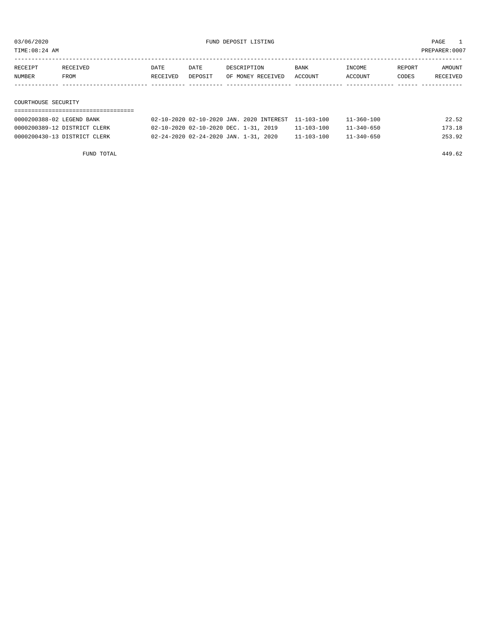03/06/2020 PAGE 1 PAGE 1 PAGE 1 PAGE 1 PAGE 1 PAGE 1 PAGE 1 PAGE 1 PAGE 1 PAGE 1 PAGE 1 PAGE 1 PAGE 1 PAGE 1 PAGE 1 PAGE 1 PAGE 1 PAGE 1 PAGE 1 PAGE 1 PAGE 1 PAGE 1 PAGE 1 PAGE 1 PAGE 1 PAGE 1 PAGE 1 PAGE 1 PAGE 1 PAGE 1 P

PREPARER:0007

| TIME:U8:Z4 AM |  |  |
|---------------|--|--|
|               |  |  |

| RECEIPT             | RECEIVED | DATE     | DATE    | DESCRIPTION       | <b>BANK</b> | INCOME  | REPORT | AMOUNT   |
|---------------------|----------|----------|---------|-------------------|-------------|---------|--------|----------|
| <b>NUMBER</b>       | FROM     | RECEIVED | DEPOSIT | OF MONEY RECEIVED | ACCOUNT     | ACCOUNT | CODES  | RECEIVED |
|                     |          |          |         |                   |             |         |        |          |
|                     |          |          |         |                   |             |         |        |          |
| COURTHOUSE SECURITY |          |          |         |                   |             |         |        |          |

### ===================================

| 0000200388-02 LEGEND BANK    |                                       | 02-10-2020 02-10-2020 JAN. 2020 INTEREST 11-103-100 | $11 - 360 - 100$ | 22.52  |
|------------------------------|---------------------------------------|-----------------------------------------------------|------------------|--------|
| 0000200389-12 DISTRICT CLERK | 02-10-2020 02-10-2020 DEC. 1-31, 2019 | 11-103-100                                          | $11 - 340 - 650$ | 173.18 |
| 0000200430-13 DISTRICT CLERK | 02-24-2020 02-24-2020 JAN. 1-31, 2020 | $11 - 103 - 100$                                    | $11 - 340 - 650$ | 253.92 |

FUND TOTAL 449.62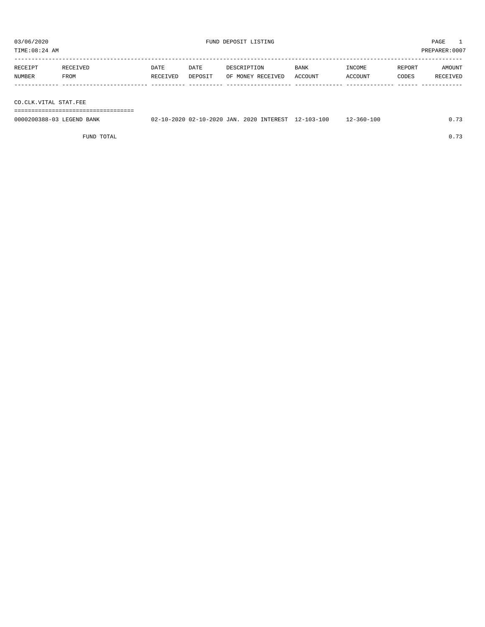TIME:08:24 AM PREPARER:0007 -----------------------------------------------------------------------------------------------------------------------------------

| RECEIPT       | <b>RECEIVED</b> | DATE     | DATE    | DESCRIPTION             | <b>BANK</b> | INCOME        | REPORT | AMOUNT        |
|---------------|-----------------|----------|---------|-------------------------|-------------|---------------|--------|---------------|
| <b>NUMBER</b> | FROM            | RECEIVED | DEPOSIT | RECEIVED<br>つ戸<br>MONEY | ACCOUNT     | <b>CCOUNT</b> | CODES  | :TVEL<br>ים מ |
|               |                 |          |         |                         |             |               |        |               |

CO.CLK.VITAL STAT.FEE

===================================

| 0000200388-03 LEGEND BANK |  |  | 02-10-2020 02-10-2020 JAN. 2020 INTEREST 12-103-100 | 12-360-100 | 0.73 |
|---------------------------|--|--|-----------------------------------------------------|------------|------|
|                           |  |  |                                                     |            |      |

FUND TOTAL  $0.73$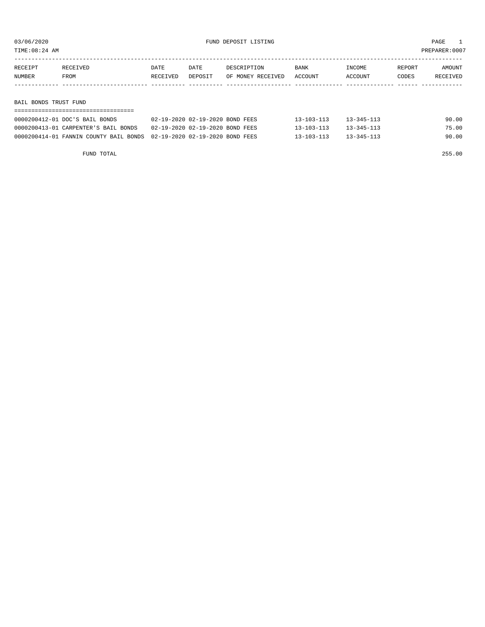TIME:08:24 AM PREPARER:0007

| RECEIPT | RECEIVED | DATE     | <b>DATE</b> | DESCRIPTION       | <b>BANK</b> | INCOME  | REPORT | AMOUNT   |
|---------|----------|----------|-------------|-------------------|-------------|---------|--------|----------|
| NUMBER  | FROM     | RECEIVED | DEPOSIT     | OF MONEY RECEIVED | ACCOUNT     | ACCOUNT | CODES  | RECEIVED |
|         |          |          |             |                   |             |         |        |          |
|         |          |          |             |                   |             |         |        |          |
|         |          |          |             |                   |             |         |        |          |

BAIL BONDS TRUST FUND

| -----------------------------                                          |                                 |                  |                  |       |  |  |  |  |  |  |  |
|------------------------------------------------------------------------|---------------------------------|------------------|------------------|-------|--|--|--|--|--|--|--|
| 0000200412-01 DOC'S BAIL BONDS                                         | 02-19-2020 02-19-2020 BOND FEES | $13 - 103 - 113$ | $13 - 345 - 113$ | 90.00 |  |  |  |  |  |  |  |
| 0000200413-01 CARPENTER'S BAIL BONDS                                   | 02-19-2020 02-19-2020 BOND FEES | $13 - 103 - 113$ | $13 - 345 - 113$ | 75.00 |  |  |  |  |  |  |  |
| 0000200414-01 FANNIN COUNTY BAIL BONDS 02-19-2020 02-19-2020 BOND FEES |                                 | $13 - 103 - 113$ | $13 - 345 - 113$ | 90.00 |  |  |  |  |  |  |  |

FUND TOTAL 255.00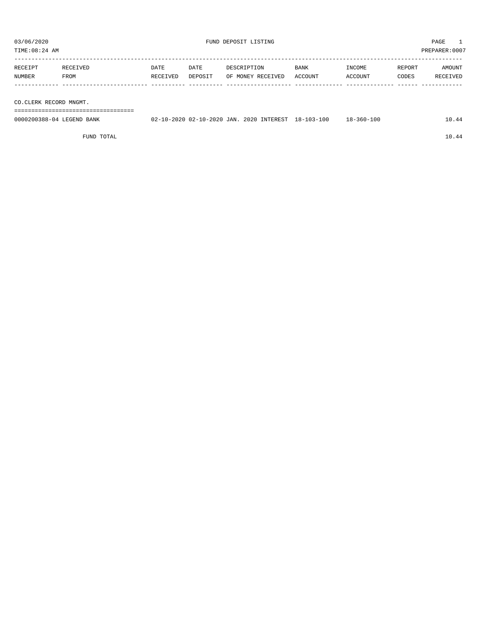| TIME: 08:24 AM         |                           |                  |                 |                                                     |                 |                   |                 | PREPARER:0007      |
|------------------------|---------------------------|------------------|-----------------|-----------------------------------------------------|-----------------|-------------------|-----------------|--------------------|
| RECEIPT<br>NUMBER      | RECEIVED<br>FROM          | DATE<br>RECEIVED | DATE<br>DEPOSIT | DESCRIPTION<br>OF MONEY RECEIVED                    | BANK<br>ACCOUNT | INCOME<br>ACCOUNT | REPORT<br>CODES | AMOUNT<br>RECEIVED |
|                        |                           |                  |                 |                                                     |                 |                   |                 |                    |
| CO.CLERK RECORD MNGMT. |                           |                  |                 |                                                     |                 |                   |                 |                    |
|                        |                           |                  |                 |                                                     |                 |                   |                 |                    |
|                        | 0000200388-04 LEGEND BANK |                  |                 | 02-10-2020 02-10-2020 JAN. 2020 INTEREST 18-103-100 |                 | $18 - 360 - 100$  |                 | 10.44              |

FUND TOTAL 10.44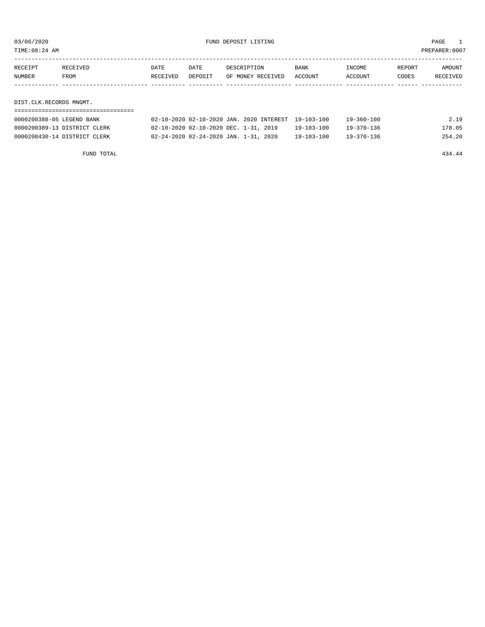03/06/2020 FUND DEPOSIT LISTING PAGE 1

| RECEIPT                 | RECEIVED | DATE     | DATE    | DESCRIPTION       | <b>BANK</b> | INCOME  | REPORT | <b>AMOUNT</b> |
|-------------------------|----------|----------|---------|-------------------|-------------|---------|--------|---------------|
| <b>NUMBER</b>           | FROM     | RECEIVED | DEPOSIT | OF MONEY RECEIVED | ACCOUNT     | ACCOUNT | CODES  | RECEIVED      |
|                         |          |          |         |                   |             |         |        |               |
|                         |          |          |         |                   |             |         |        |               |
| DIST.CLK.RECORDS MNGMT. |          |          |         |                   |             |         |        |               |

===================================

| 0000200388-05 LEGEND BANK    | 02-10-2020 02-10-2020 JAN. 2020 INTEREST 19-103-100 |            | $19 - 360 - 100$ | 2.19   |
|------------------------------|-----------------------------------------------------|------------|------------------|--------|
| 0000200389-13 DISTRICT CLERK | 02-10-2020 02-10-2020 DEC. 1-31, 2019               | 19-103-100 | $19 - 370 - 136$ | 178.05 |
| 0000200430-14 DISTRICT CLERK | 02-24-2020 02-24-2020 JAN. 1-31, 2020               | 19-103-100 | $19 - 370 - 136$ | 254.20 |

FUND TOTAL 434.44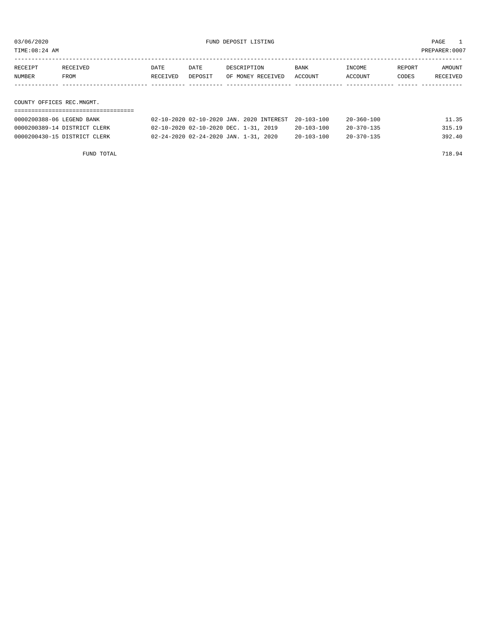03/06/2020 FUND DEPOSIT LISTING PAGE 1

| RECEIPT | RECEIVED                  | DATE     | DATE    | DESCRIPTION       | BANK    | INCOME  | REPORT | AMOUNT   |  |  |  |
|---------|---------------------------|----------|---------|-------------------|---------|---------|--------|----------|--|--|--|
| NUMBER  | FROM                      | RECEIVED | DEPOSIT | OF MONEY RECEIVED | ACCOUNT | ACCOUNT | CODES  | RECEIVED |  |  |  |
|         |                           |          |         |                   |         |         |        |          |  |  |  |
|         |                           |          |         |                   |         |         |        |          |  |  |  |
|         | COUNTY OFFICES REC.MNGMT. |          |         |                   |         |         |        |          |  |  |  |
|         |                           |          |         |                   |         |         |        |          |  |  |  |

| 0000200388-06 LEGEND BANK    | 02-10-2020 02-10-2020 JAN. 2020 INTEREST 20-103-100 |                  | $20 - 360 - 100$ | 11.35  |
|------------------------------|-----------------------------------------------------|------------------|------------------|--------|
| 0000200389-14 DISTRICT CLERK | 02-10-2020 02-10-2020 DEC. 1-31, 2019               | $20 - 103 - 100$ | $20 - 370 - 135$ | 315.19 |
| 0000200430-15 DISTRICT CLERK | 02-24-2020 02-24-2020 JAN. 1-31, 2020               | $20 - 103 - 100$ | $20 - 370 - 135$ | 392.40 |

FUND TOTAL 718.94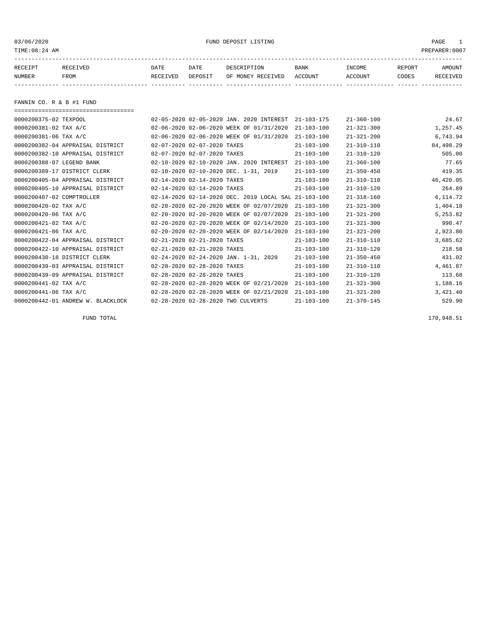03/06/2020 PUND DEPOSIT LISTING PAGE 1

| RECEIPT | <b>RECEIVED</b> | DATE     | DATE    | DESCRIPTION       | <b>BANK</b> | INCOME  | <b>REPORT</b> | AMOUNT          |
|---------|-----------------|----------|---------|-------------------|-------------|---------|---------------|-----------------|
| NUMBER  | FROM            | RECEIVED | DEPOSIT | OF MONEY RECEIVED | ACCOUNT     | ACCOUNT | CODES         | <b>RECEIVED</b> |
|         |                 |          |         |                   |             |         |               |                 |

FANNIN CO. R & B #1 FUND

| ------------------------------------- |                                                      |                  |                  |           |
|---------------------------------------|------------------------------------------------------|------------------|------------------|-----------|
| 0000200375-02 TEXPOOL                 | 02-05-2020 02-05-2020 JAN. 2020 INTEREST             | $21 - 103 - 175$ | $21 - 360 - 100$ | 24.67     |
| 0000200381-02 TAX A/C                 | 02-06-2020 02-06-2020 WEEK OF 01/31/2020             | $21 - 103 - 100$ | $21 - 321 - 300$ | 1,257.45  |
| 0000200381-06 TAX A/C                 | 02-06-2020 02-06-2020 WEEK OF 01/31/2020             | $21 - 103 - 100$ | $21 - 321 - 200$ | 6,743.94  |
| 0000200382-04 APPRAISAL DISTRICT      | 02-07-2020 02-07-2020 TAXES                          | $21 - 103 - 100$ | $21 - 310 - 110$ | 84,498.29 |
| 0000200382-10 APPRAISAL DISTRICT      | 02-07-2020 02-07-2020 TAXES                          | $21 - 103 - 100$ | $21 - 310 - 120$ | 505.00    |
| 0000200388-07 LEGEND BANK             | 02-10-2020 02-10-2020 JAN. 2020 INTEREST             | $21 - 103 - 100$ | $21 - 360 - 100$ | 77.65     |
| 0000200389-17 DISTRICT CLERK          | 02-10-2020 02-10-2020 DEC. 1-31, 2019                | $21 - 103 - 100$ | $21 - 350 - 450$ | 419.35    |
| 0000200405-04 APPRAISAL DISTRICT      | 02-14-2020 02-14-2020 TAXES                          | $21 - 103 - 100$ | $21 - 310 - 110$ | 46,420.05 |
| 0000200405-10 APPRAISAL DISTRICT      | 02-14-2020 02-14-2020 TAXES                          | $21 - 103 - 100$ | $21 - 310 - 120$ | 264.89    |
| 0000200407-02 COMPTROLLER             | 02-14-2020 02-14-2020 DEC. 2019 LOCAL SAL 21-103-100 |                  | $21 - 318 - 160$ | 6, 114.72 |
| 0000200420-02 TAX A/C                 | 02-20-2020 02-20-2020 WEEK OF 02/07/2020             | $21 - 103 - 100$ | $21 - 321 - 300$ | 1,404.18  |
| 0000200420-06 TAX A/C                 | 02-20-2020 02-20-2020 WEEK OF 02/07/2020             | $21 - 103 - 100$ | $21 - 321 - 200$ | 5,253.82  |
| 0000200421-02 TAX A/C                 | 02-20-2020 02-20-2020 WEEK OF 02/14/2020             | $21 - 103 - 100$ | $21 - 321 - 300$ | 990.47    |
| 0000200421-06 TAX A/C                 | 02-20-2020 02-20-2020 WEEK OF 02/14/2020             | $21 - 103 - 100$ | $21 - 321 - 200$ | 2,923.80  |
| 0000200422-04 APPRAISAL DISTRICT      | 02-21-2020 02-21-2020 TAXES                          | $21 - 103 - 100$ | $21 - 310 - 110$ | 3,685.62  |
| 0000200422-10 APPRAISAL DISTRICT      | 02-21-2020 02-21-2020 TAXES                          | $21 - 103 - 100$ | $21 - 310 - 120$ | 218.58    |
| 0000200430-18 DISTRICT CLERK          | 02-24-2020 02-24-2020 JAN. 1-31, 2020                | $21 - 103 - 100$ | $21 - 350 - 450$ | 431.02    |
| 0000200439-03 APPRAISAL DISTRICT      | 02-28-2020 02-28-2020 TAXES                          | $21 - 103 - 100$ | $21 - 310 - 110$ | 4,461.87  |
| 0000200439-09 APPRAISAL DISTRICT      | 02-28-2020 02-28-2020 TAXES                          | $21 - 103 - 100$ | $21 - 310 - 120$ | 113.68    |
| 0000200441-02 TAX A/C                 | 02-28-2020 02-28-2020 WEEK OF 02/21/2020             | $21 - 103 - 100$ | $21 - 321 - 300$ | 1,188.16  |
| 0000200441-06 TAX A/C                 | 02-28-2020 02-28-2020 WEEK OF 02/21/2020             | $21 - 103 - 100$ | $21 - 321 - 200$ | 3,421.40  |
| 0000200442-01 ANDREW W. BLACKLOCK     | 02-28-2020 02-28-2020 TWO CULVERTS                   | $21 - 103 - 100$ | $21 - 370 - 145$ | 529.90    |

FUND TOTAL 170,948.51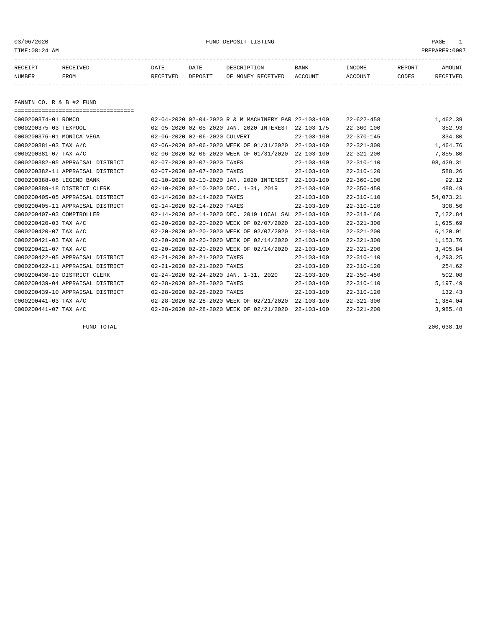03/06/2020 PUND DEPOSIT LISTING PAGE 1

| RECEIPT | <b>RECEIVED</b> | DATE     | DATE    | DESCRIPTION          | <b>BANK</b>    | INCOME  | <b>REPORT</b> | AMOUNT          |
|---------|-----------------|----------|---------|----------------------|----------------|---------|---------------|-----------------|
| NUMBER  | FROM            | RECEIVED | DEPOSIT | RECEIVED<br>OF MONEY | <b>ACCOUNT</b> | ACCOUNT | CODES         | <b>RECEIVED</b> |
|         |                 |          |         |                      |                |         |               |                 |

FANNIN CO. R & B #2 FUND

| ===================================== |                               |                                                      |                  |                  |           |
|---------------------------------------|-------------------------------|------------------------------------------------------|------------------|------------------|-----------|
| 0000200374-01 ROMCO                   |                               | 02-04-2020 02-04-2020 R & M MACHINERY PAR 22-103-100 |                  | $22 - 622 - 458$ | 1,462.39  |
| 0000200375-03 TEXPOOL                 |                               | 02-05-2020 02-05-2020 JAN. 2020 INTEREST             | $22 - 103 - 175$ | $22 - 360 - 100$ | 352.93    |
| 0000200376-01 MONICA VEGA             | 02-06-2020 02-06-2020 CULVERT |                                                      | $22 - 103 - 100$ | $22 - 370 - 145$ | 334.80    |
| 0000200381-03 TAX A/C                 |                               | 02-06-2020 02-06-2020 WEEK OF 01/31/2020             | $22 - 103 - 100$ | $22 - 321 - 300$ | 1,464.76  |
| 0000200381-07 TAX A/C                 |                               | 02-06-2020 02-06-2020 WEEK OF 01/31/2020             | $22 - 103 - 100$ | $22 - 321 - 200$ | 7,855.80  |
| 0000200382-05 APPRAISAL DISTRICT      | 02-07-2020 02-07-2020 TAXES   |                                                      | $22 - 103 - 100$ | $22 - 310 - 110$ | 98,429.31 |
| 0000200382-11 APPRAISAL DISTRICT      | 02-07-2020 02-07-2020 TAXES   |                                                      | $22 - 103 - 100$ | $22 - 310 - 120$ | 588.26    |
| 0000200388-08 LEGEND BANK             |                               | 02-10-2020 02-10-2020 JAN. 2020 INTEREST             | $22 - 103 - 100$ | $22 - 360 - 100$ | 92.12     |
| 0000200389-18 DISTRICT CLERK          |                               | 02-10-2020 02-10-2020 DEC. 1-31, 2019                | $22 - 103 - 100$ | $22 - 350 - 450$ | 488.49    |
| 0000200405-05 APPRAISAL DISTRICT      | 02-14-2020 02-14-2020 TAXES   |                                                      | $22 - 103 - 100$ | $22 - 310 - 110$ | 54,073.21 |
| 0000200405-11 APPRAISAL DISTRICT      | 02-14-2020 02-14-2020 TAXES   |                                                      | $22 - 103 - 100$ | $22 - 310 - 120$ | 308.56    |
| 0000200407-03 COMPTROLLER             |                               | 02-14-2020 02-14-2020 DEC. 2019 LOCAL SAL            | 22-103-100       | $22 - 318 - 160$ | 7,122.84  |
| 0000200420-03 TAX A/C                 |                               | 02-20-2020 02-20-2020 WEEK OF 02/07/2020             | $22 - 103 - 100$ | $22 - 321 - 300$ | 1,635.69  |
| 0000200420-07 TAX A/C                 |                               | 02-20-2020 02-20-2020 WEEK OF 02/07/2020             | $22 - 103 - 100$ | $22 - 321 - 200$ | 6, 120.01 |
| 0000200421-03 TAX A/C                 |                               | 02-20-2020 02-20-2020 WEEK OF 02/14/2020             | $22 - 103 - 100$ | $22 - 321 - 300$ | 1,153.76  |
| 0000200421-07 TAX A/C                 |                               | 02-20-2020 02-20-2020 WEEK OF 02/14/2020             | $22 - 103 - 100$ | $22 - 321 - 200$ | 3,405.84  |
| 0000200422-05 APPRAISAL DISTRICT      | 02-21-2020 02-21-2020 TAXES   |                                                      | $22 - 103 - 100$ | $22 - 310 - 110$ | 4,293.25  |
| 0000200422-11 APPRAISAL DISTRICT      | 02-21-2020 02-21-2020 TAXES   |                                                      | $22 - 103 - 100$ | $22 - 310 - 120$ | 254.62    |
| 0000200430-19 DISTRICT CLERK          |                               | 02-24-2020 02-24-2020 JAN. 1-31, 2020                | $22 - 103 - 100$ | $22 - 350 - 450$ | 502.08    |
| 0000200439-04 APPRAISAL DISTRICT      | 02-28-2020 02-28-2020 TAXES   |                                                      | $22 - 103 - 100$ | $22 - 310 - 110$ | 5,197.49  |
| 0000200439-10 APPRAISAL DISTRICT      | 02-28-2020 02-28-2020 TAXES   |                                                      | $22 - 103 - 100$ | $22 - 310 - 120$ | 132.43    |
| 0000200441-03 TAX A/C                 |                               | 02-28-2020 02-28-2020 WEEK OF 02/21/2020             | $22 - 103 - 100$ | $22 - 321 - 300$ | 1,384.04  |
| 0000200441-07 TAX A/C                 |                               | 02-28-2020 02-28-2020 WEEK OF 02/21/2020             | $22 - 103 - 100$ | $22 - 321 - 200$ | 3,985.48  |

FUND TOTAL 200,638.16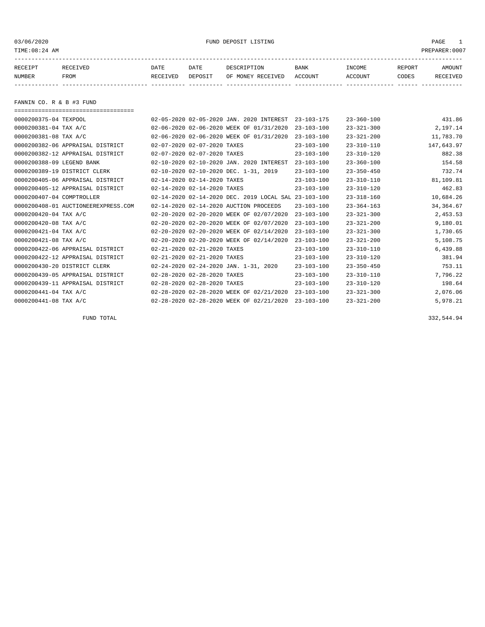03/06/2020 FUND DEPOSIT LISTING PAGE 1

| RECEIPT | <b>RECEIVED</b> | DATE     | DATE    | DESCRIPTION       | BANK    | <b>INCOME</b> | REPORT | <b>AMOUNT</b> |
|---------|-----------------|----------|---------|-------------------|---------|---------------|--------|---------------|
| NUMBER  | FROM            | RECEIVED | DEPOSIT | OF MONEY RECEIVED | ACCOUNT | ACCOUNT       | CODES  | RECEIVED      |
|         |                 |          |         |                   |         |               |        |               |

FANNIN CO. R & B #3 FUND

===================================

| 0000200375-04 TEXPOOL               |                             | 02-05-2020 02-05-2020 JAN. 2020 INTEREST               | $23 - 103 - 175$ | $23 - 360 - 100$ | 431.86     |
|-------------------------------------|-----------------------------|--------------------------------------------------------|------------------|------------------|------------|
| 0000200381-04 TAX A/C               |                             | 02-06-2020 02-06-2020 WEEK OF 01/31/2020               | $23 - 103 - 100$ | $23 - 321 - 300$ | 2,197.14   |
| 0000200381-08 TAX A/C               |                             | 02-06-2020 02-06-2020 WEEK OF 01/31/2020               | $23 - 103 - 100$ | $23 - 321 - 200$ | 11,783.70  |
| 0000200382-06 APPRAISAL DISTRICT    | 02-07-2020 02-07-2020 TAXES |                                                        | $23 - 103 - 100$ | $23 - 310 - 110$ | 147,643.97 |
| 0000200382-12 APPRAISAL DISTRICT    | 02-07-2020 02-07-2020 TAXES |                                                        | $23 - 103 - 100$ | $23 - 310 - 120$ | 882.38     |
| 0000200388-09 LEGEND BANK           |                             | 02-10-2020 02-10-2020 JAN. 2020 INTEREST               | $23 - 103 - 100$ | $23 - 360 - 100$ | 154.58     |
| 0000200389-19 DISTRICT CLERK        |                             | 02-10-2020 02-10-2020 DEC. 1-31, 2019                  | $23 - 103 - 100$ | $23 - 350 - 450$ | 732.74     |
| 0000200405-06 APPRAISAL DISTRICT    | 02-14-2020 02-14-2020 TAXES |                                                        | $23 - 103 - 100$ | $23 - 310 - 110$ | 81,109.81  |
| 0000200405-12 APPRAISAL DISTRICT    | 02-14-2020 02-14-2020 TAXES |                                                        | $23 - 103 - 100$ | $23 - 310 - 120$ | 462.83     |
| 0000200407-04 COMPTROLLER           |                             | 02-14-2020 02-14-2020 DEC. 2019 LOCAL SAL              | $23 - 103 - 100$ | $23 - 318 - 160$ | 10,684.26  |
| 0000200408-01 AUCTIONEEREXPRESS.COM |                             | 02-14-2020 02-14-2020 AUCTION PROCEEDS                 | $23 - 103 - 100$ | $23 - 364 - 163$ | 34, 364.67 |
| 0000200420-04 TAX A/C               |                             | 02-20-2020 02-20-2020 WEEK OF 02/07/2020               | $23 - 103 - 100$ | $23 - 321 - 300$ | 2,453.53   |
| 0000200420-08 TAX A/C               |                             | 02-20-2020 02-20-2020 WEEK OF 02/07/2020               | $23 - 103 - 100$ | $23 - 321 - 200$ | 9,180.01   |
| 0000200421-04 TAX A/C               |                             | 02-20-2020 02-20-2020 WEEK OF 02/14/2020               | $23 - 103 - 100$ | $23 - 321 - 300$ | 1,730.65   |
| 0000200421-08 TAX A/C               |                             | 02-20-2020 02-20-2020 WEEK OF 02/14/2020               | $23 - 103 - 100$ | $23 - 321 - 200$ | 5,108.75   |
| 0000200422-06 APPRAISAL DISTRICT    | 02-21-2020 02-21-2020 TAXES |                                                        | $23 - 103 - 100$ | $23 - 310 - 110$ | 6,439.88   |
| 0000200422-12 APPRAISAL DISTRICT    | 02-21-2020 02-21-2020 TAXES |                                                        | $23 - 103 - 100$ | $23 - 310 - 120$ | 381.94     |
| 0000200430-20 DISTRICT CLERK        |                             | $02 - 24 - 2020$ $02 - 24 - 2020$ JAN. $1 - 31$ , 2020 | $23 - 103 - 100$ | $23 - 350 - 450$ | 753.11     |
| 0000200439-05 APPRAISAL DISTRICT    | 02-28-2020 02-28-2020 TAXES |                                                        | $23 - 103 - 100$ | $23 - 310 - 110$ | 7,796.22   |
| 0000200439-11 APPRAISAL DISTRICT    | 02-28-2020 02-28-2020 TAXES |                                                        | $23 - 103 - 100$ | $23 - 310 - 120$ | 198.64     |
| 0000200441-04 TAX A/C               |                             | 02-28-2020 02-28-2020 WEEK OF 02/21/2020               | $23 - 103 - 100$ | $23 - 321 - 300$ | 2,076.06   |
| 0000200441-08 TAX A/C               |                             | 02-28-2020 02-28-2020 WEEK OF 02/21/2020               | $23 - 103 - 100$ | $23 - 321 - 200$ | 5,978.21   |
|                                     |                             |                                                        |                  |                  |            |

FUND TOTAL 332,544.94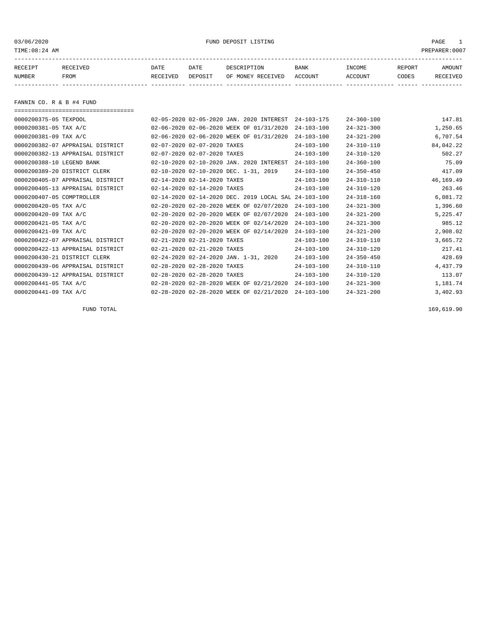03/06/2020 FUND DEPOSIT LISTING PAGE 1

| RECEIPT | <b>RECEIVED</b> | DATE     | DATE    | DESCRIPTION          | <b>BANK</b>    | INCOME  | <b>REPORT</b> | AMOUNT          |
|---------|-----------------|----------|---------|----------------------|----------------|---------|---------------|-----------------|
| NUMBER  | FROM            | RECEIVED | DEPOSIT | RECEIVED<br>OF MONEY | <b>ACCOUNT</b> | ACCOUNT | CODES         | <b>RECEIVED</b> |
|         |                 |          |         |                      |                |         |               |                 |

FANNIN CO. R & B #4 FUND

===================================

| 0000200375-05 TEXPOOL     |                                  |                             | 02-05-2020 02-05-2020 JAN. 2020 INTEREST  | $24 - 103 - 175$ | $24 - 360 - 100$ | 147.81    |
|---------------------------|----------------------------------|-----------------------------|-------------------------------------------|------------------|------------------|-----------|
| 0000200381-05 TAX A/C     |                                  |                             | 02-06-2020 02-06-2020 WEEK OF 01/31/2020  | $24 - 103 - 100$ | $24 - 321 - 300$ | 1,250.65  |
| 0000200381-09 TAX A/C     |                                  |                             | 02-06-2020 02-06-2020 WEEK OF 01/31/2020  | $24 - 103 - 100$ | $24 - 321 - 200$ | 6,707.54  |
|                           | 0000200382-07 APPRAISAL DISTRICT | 02-07-2020 02-07-2020 TAXES |                                           | $24 - 103 - 100$ | $24 - 310 - 110$ | 84,042.22 |
|                           | 0000200382-13 APPRAISAL DISTRICT | 02-07-2020 02-07-2020 TAXES |                                           | $24 - 103 - 100$ | $24 - 310 - 120$ | 502.27    |
| 0000200388-10 LEGEND BANK |                                  |                             | 02-10-2020 02-10-2020 JAN. 2020 INTEREST  | $24 - 103 - 100$ | $24 - 360 - 100$ | 75.09     |
|                           | 0000200389-20 DISTRICT CLERK     |                             | 02-10-2020 02-10-2020 DEC. 1-31, 2019     | $24 - 103 - 100$ | $24 - 350 - 450$ | 417.09    |
|                           | 0000200405-07 APPRAISAL DISTRICT | 02-14-2020 02-14-2020 TAXES |                                           | $24 - 103 - 100$ | $24 - 310 - 110$ | 46,169.49 |
|                           | 0000200405-13 APPRAISAL DISTRICT | 02-14-2020 02-14-2020 TAXES |                                           | $24 - 103 - 100$ | $24 - 310 - 120$ | 263.46    |
| 0000200407-05 COMPTROLLER |                                  |                             | 02-14-2020 02-14-2020 DEC. 2019 LOCAL SAL | 24-103-100       | $24 - 318 - 160$ | 6,081.72  |
| 0000200420-05 TAX A/C     |                                  |                             | 02-20-2020 02-20-2020 WEEK OF 02/07/2020  | $24 - 103 - 100$ | $24 - 321 - 300$ | 1,396.60  |
| 0000200420-09 TAX A/C     |                                  |                             | 02-20-2020 02-20-2020 WEEK OF 02/07/2020  | $24 - 103 - 100$ | $24 - 321 - 200$ | 5,225.47  |
| 0000200421-05 TAX A/C     |                                  |                             | 02-20-2020 02-20-2020 WEEK OF 02/14/2020  | $24 - 103 - 100$ | $24 - 321 - 300$ | 985.12    |
| 0000200421-09 TAX A/C     |                                  |                             | 02-20-2020 02-20-2020 WEEK OF 02/14/2020  | $24 - 103 - 100$ | $24 - 321 - 200$ | 2,908.02  |
|                           | 0000200422-07 APPRAISAL DISTRICT | 02-21-2020 02-21-2020 TAXES |                                           | $24 - 103 - 100$ | $24 - 310 - 110$ | 3,665.72  |
|                           | 0000200422-13 APPRAISAL DISTRICT | 02-21-2020 02-21-2020 TAXES |                                           | $24 - 103 - 100$ | $24 - 310 - 120$ | 217.41    |
|                           | 0000200430-21 DISTRICT CLERK     |                             | 02-24-2020 02-24-2020 JAN. 1-31, 2020     | $24 - 103 - 100$ | $24 - 350 - 450$ | 428.69    |
|                           | 0000200439-06 APPRAISAL DISTRICT | 02-28-2020 02-28-2020 TAXES |                                           | $24 - 103 - 100$ | $24 - 310 - 110$ | 4,437.79  |
|                           | 0000200439-12 APPRAISAL DISTRICT | 02-28-2020 02-28-2020 TAXES |                                           | $24 - 103 - 100$ | $24 - 310 - 120$ | 113.07    |
| 0000200441-05 TAX A/C     |                                  |                             | 02-28-2020 02-28-2020 WEEK OF 02/21/2020  | $24 - 103 - 100$ | $24 - 321 - 300$ | 1,181.74  |
| 0000200441-09 TAX A/C     |                                  |                             | 02-28-2020 02-28-2020 WEEK OF 02/21/2020  | $24 - 103 - 100$ | $24 - 321 - 200$ | 3,402.93  |

FUND TOTAL 169,619.90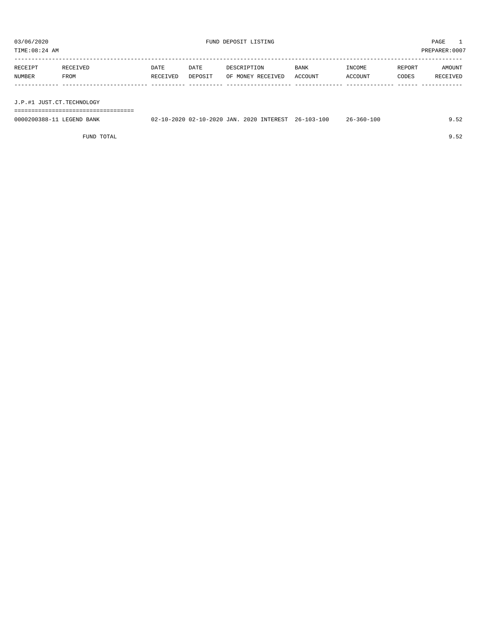TIME:08:24 AM PREPARER:0007 -----------------------------------------------------------------------------------------------------------------------------------

| RECEIPT | RECEIVED    | DATE     | DATE    | DESCRIPTION       | <b>BANK</b> | INCOME  | REPORT | AMOUNT   |
|---------|-------------|----------|---------|-------------------|-------------|---------|--------|----------|
| NUMBER  | <b>FROM</b> | RECEIVED | DEPOSIT | OF MONEY RECEIVED | ACCOUNT     | ACCOUNT | CODES  | RECEIVED |
|         |             |          |         |                   |             |         |        |          |
|         |             |          |         |                   |             |         |        |          |

J.P.#1 JUST.CT.TECHNOLOGY

===================================

| 0000200388-11 LEGEND BANK |  |  | 02-10-2020 02-10-2020 JAN. 2020 INTEREST 26-103-100 | $26 - 360 - 100$ | 9.52 |
|---------------------------|--|--|-----------------------------------------------------|------------------|------|
|                           |  |  |                                                     |                  |      |

FUND TOTAL 9.52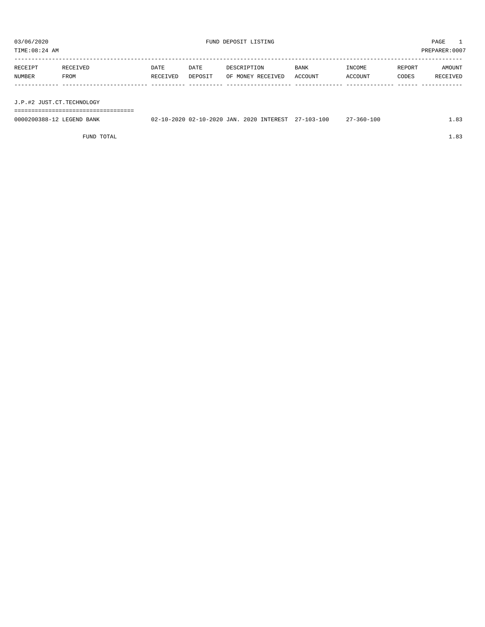PREPARER:0007

| 03/06/2020<br>TIME:08:24 AM |                           |                  |                 | FUND DEPOSIT LISTING             |                 |                   |                 |                    |  |
|-----------------------------|---------------------------|------------------|-----------------|----------------------------------|-----------------|-------------------|-----------------|--------------------|--|
| RECEIPT<br>NUMBER           | RECEIVED<br>FROM          | DATE<br>RECEIVED | DATE<br>DEPOSIT | DESCRIPTION<br>OF MONEY RECEIVED | BANK<br>ACCOUNT | INCOME<br>ACCOUNT | REPORT<br>CODES | AMOUNT<br>RECEIVED |  |
|                             | J.P.#2 JUST.CT.TECHNOLOGY |                  |                 |                                  |                 |                   |                 |                    |  |
|                             |                           |                  |                 |                                  |                 |                   |                 |                    |  |

| 0000200388-<br>BANK<br>.EGENF | TAN<br>2020<br>າ ດ າ ເ<br>$10 -$ | <b>TNTEREST</b><br>2020 | $\sim$ $\sim$<br>100<br>$\sim$<br>1 U U<br>. U 51<br> | 100<br>501<br> | റി |
|-------------------------------|----------------------------------|-------------------------|-------------------------------------------------------|----------------|----|
|                               |                                  |                         |                                                       |                |    |

FUND TOTAL  $1.83$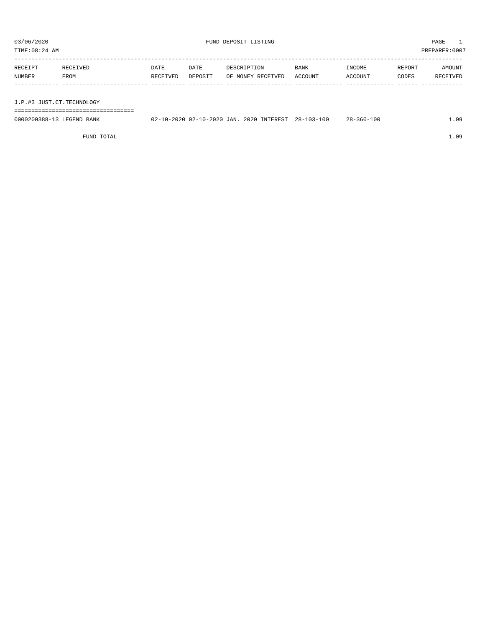| TIME:08:24 AM<br>PREPARER:0007 |          |          |         |                   |         |         |        |          |
|--------------------------------|----------|----------|---------|-------------------|---------|---------|--------|----------|
| RECEIPT                        | RECEIVED | DATE     | DATE    | DESCRIPTION       | BANK    | INCOME  | REPORT | AMOUNT   |
| NUMBER                         | FROM     | RECEIVED | DEPOSIT | OF MONEY RECEIVED | ACCOUNT | ACCOUNT | CODES  | RECEIVED |
|                                |          |          |         |                   |         |         |        |          |

J.P.#3 JUST.CT.TECHNOLOGY

===================================

| 0000200388-13 LEGEND BANK | 02-10-2020 02-10-2020 JAN. 2020 INTEREST | $28 - 103 - 100$ | $28 - 360 - 100$ | 09 |
|---------------------------|------------------------------------------|------------------|------------------|----|
|                           |                                          |                  |                  |    |

FUND TOTAL 1.09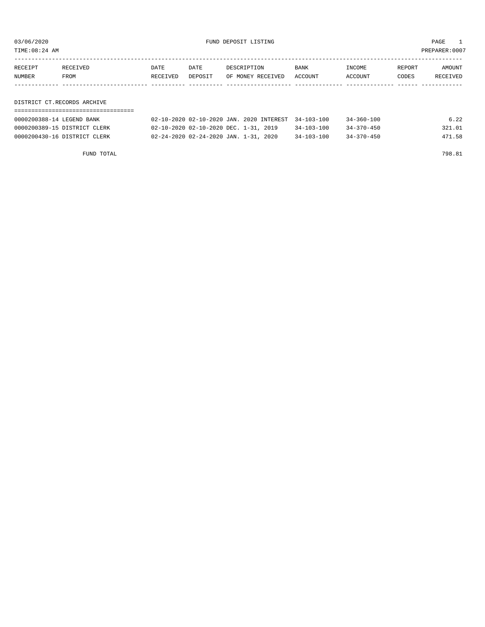03/06/2020 FUND DEPOSIT LISTING PAGE 1

| RECEIPT | <b>RECEIVED</b> | DATE     | DATE    | DESCRIPTION               | BANK | INCOME  | REPORT | AMOUNT   |
|---------|-----------------|----------|---------|---------------------------|------|---------|--------|----------|
| NUMBER  | FROM            | RECEIVED | DEPOSIT | OF MONEY RECEIVED ACCOUNT |      | ACCOUNT | CODES  | RECEIVED |
|         |                 |          |         |                           |      |         |        |          |

DISTRICT CT.RECORDS ARCHIVE

| 0000200388-14 LEGEND BANK    | 02-10-2020 02-10-2020 JAN. 2020 INTEREST 34-103-100 |                  | $34 - 360 - 100$ | 6.22   |
|------------------------------|-----------------------------------------------------|------------------|------------------|--------|
| 0000200389-15 DISTRICT CLERK | 02-10-2020 02-10-2020 DEC. 1-31, 2019               | $34 - 103 - 100$ | $34 - 370 - 450$ | 321.01 |
| 0000200430-16 DISTRICT CLERK | 02-24-2020 02-24-2020 JAN. 1-31, 2020               | $34 - 103 - 100$ | 34-370-450       | 471.58 |

FUND TOTAL 798.81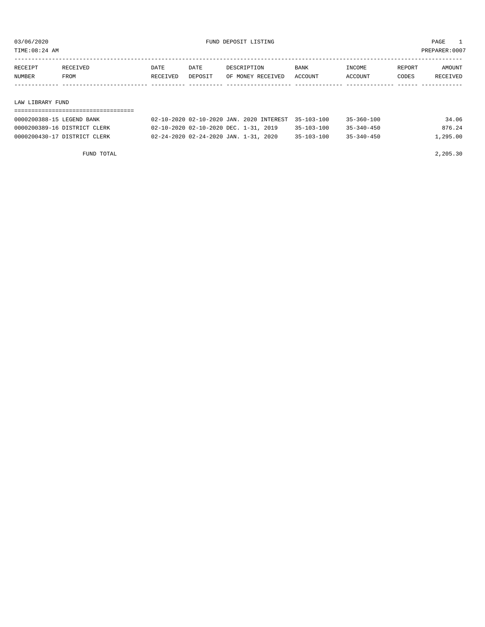TIME:08:24 AM PREPARER:0007

| RECEIPT | RECEIVED    | DATE     | DATE    | DESCRIPTION       | <b>BANK</b> | INCOME         | REPORT | AMOUNT   |
|---------|-------------|----------|---------|-------------------|-------------|----------------|--------|----------|
| NUMBER  | <b>FROM</b> | RECEIVED | DEPOSIT | OF MONEY RECEIVED | ACCOUNT     | <b>ACCOUNT</b> | CODES  | RECEIVED |
|         |             |          |         |                   |             |                |        |          |
|         |             |          |         |                   |             |                |        |          |

#### LAW LIBRARY FUND

| 0000200388-15 LEGEND BANK    | 02-10-2020 02-10-2020 JAN. 2020 INTEREST 35-103-100 |                  | $35 - 360 - 100$ | 34.06    |
|------------------------------|-----------------------------------------------------|------------------|------------------|----------|
| 0000200389-16 DISTRICT CLERK | 02-10-2020 02-10-2020 DEC. 1-31, 2019               | $35 - 103 - 100$ | $35 - 340 - 450$ | 876.24   |
| 0000200430-17 DISTRICT CLERK | 02-24-2020 02-24-2020 JAN. 1-31, 2020               | $35 - 103 - 100$ | $35 - 340 - 450$ | 1,295.00 |

FUND TOTAL 2,205.30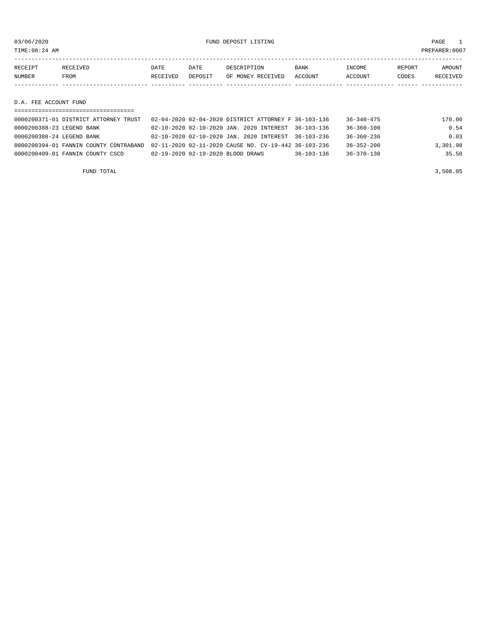TIME:08:24 AM PREPARER:0007

| RECEIPT | <b>RECEIVED</b> | DATE     | DATE    | DESCRIPTION       | <b>BANK</b> | <b>TNCOME</b> | REPORT | AMOUNT   |
|---------|-----------------|----------|---------|-------------------|-------------|---------------|--------|----------|
| NUMBER  | FROM            | RECEIVED | DEPOSIT | OF MONEY RECEIVED | ACCOUNT     | ACCOUNT       | CODES  | RECEIVED |
|         |                 |          |         |                   |             |               |        |          |

D.A. FEE ACCOUNT FUND

| 0000200371-01 DISTRICT ATTORNEY TRUST  | 02-04-2020 02-04-2020 DISTRICT ATTORNEY F 36-103-136 |                  | 36-340-475       | 170.00   |
|----------------------------------------|------------------------------------------------------|------------------|------------------|----------|
| 0000200388-23 LEGEND BANK              | 02-10-2020 02-10-2020 JAN. 2020 INTEREST 36-103-136  |                  | $36 - 360 - 100$ | 0.54     |
| 0000200388-24 LEGEND BANK              | 02-10-2020 02-10-2020 JAN. 2020 INTEREST 36-103-236  |                  | $36 - 360 - 236$ | 0.03     |
| 0000200394-01 FANNIN COUNTY CONTRABAND | 02-11-2020 02-11-2020 CAUSE NO. CV-19-442 36-103-236 |                  | $36 - 352 - 200$ | 3,301.98 |
| 0000200409-01 FANNIN COUNTY CSCD       | 02-19-2020 02-19-2020 BLOOD DRAWS                    | $36 - 103 - 136$ | $36 - 370 - 130$ | 35.50    |
|                                        |                                                      |                  |                  |          |

FUND TOTAL 3,508.05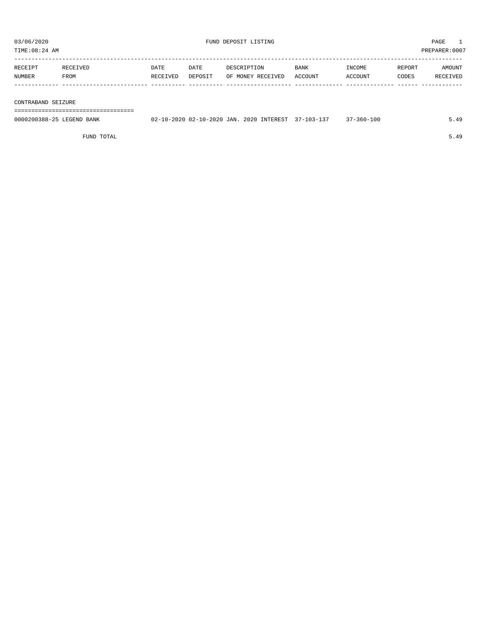| TIME:08:24 AM |                    |          |         |                   |             |         |        | PREPARER:0007 |  |
|---------------|--------------------|----------|---------|-------------------|-------------|---------|--------|---------------|--|
|               |                    |          |         |                   |             |         |        |               |  |
| RECEIPT       | RECEIVED           | DATE     | DATE    | DESCRIPTION       | <b>BANK</b> | INCOME  | REPORT | AMOUNT        |  |
| NUMBER        | FROM               | RECEIVED | DEPOSIT | OF MONEY RECEIVED | ACCOUNT     | ACCOUNT | CODES  | RECEIVED      |  |
|               |                    |          |         |                   |             |         |        |               |  |
|               |                    |          |         |                   |             |         |        |               |  |
|               | CONTRABAND SEIZURE |          |         |                   |             |         |        |               |  |
|               |                    |          |         |                   |             |         |        |               |  |

0000200388-25 LEGEND BANK 02-10-2020 02-10-2020 JAN. 2020 INTEREST 37-103-137 37-360-100 5.49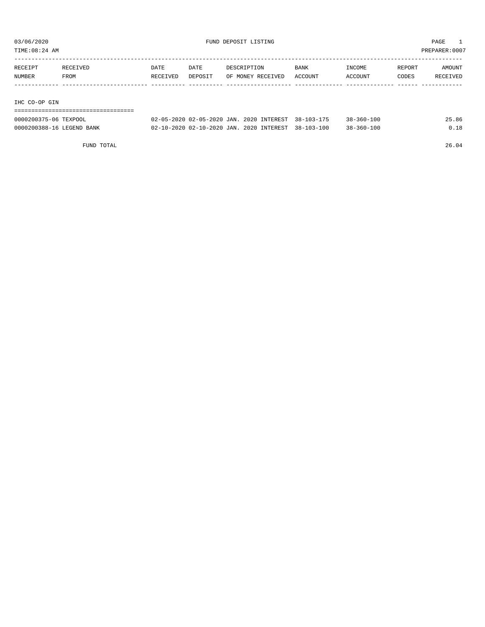TIME:08:24 AM PREPARER:0007

| RECEIPT       | RECEIVED | DATE     | DATE    | DESCRIPTION       | <b>BANK</b> | INCOME  | REPORT | AMOUNT   |
|---------------|----------|----------|---------|-------------------|-------------|---------|--------|----------|
| NUMBER        | FROM     | RECEIVED | DEPOSIT | OF MONEY RECEIVED | ACCOUNT     | ACCOUNT | CODES  | RECEIVED |
|               |          |          |         |                   |             |         |        |          |
|               |          |          |         |                   |             |         |        |          |
| IHC CO-OP GIN |          |          |         |                   |             |         |        |          |

===================================

| 0000200375-06 TEXPOOL     | 02-05-2020 02-05-2020 JAN. 2020 INTEREST 38-103-175 |  | $38 - 360 - 100$ | 25.86 |
|---------------------------|-----------------------------------------------------|--|------------------|-------|
| 0000200388-16 LEGEND BANK | 02-10-2020 02-10-2020 JAN. 2020 INTEREST 38-103-100 |  | $38 - 360 - 100$ | 0.18  |

FUND TOTAL 26.04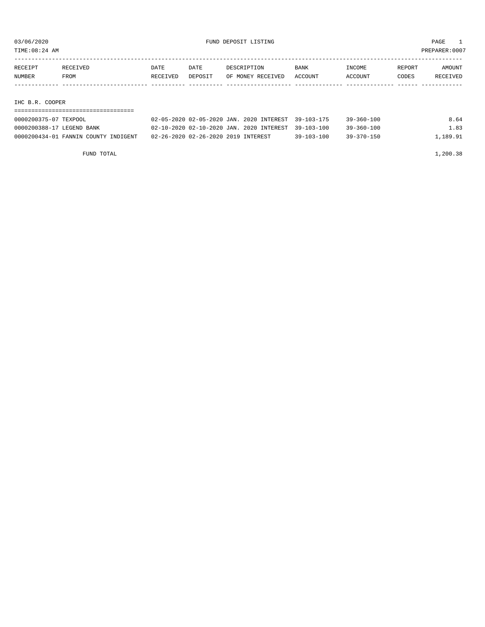| TIME:08:24 AM         | PREPARER: 0007 |          |         |                                                     |         |                  |        |          |  |
|-----------------------|----------------|----------|---------|-----------------------------------------------------|---------|------------------|--------|----------|--|
|                       |                |          |         |                                                     |         |                  |        |          |  |
| RECEIPT               | RECEIVED       | DATE     | DATE    | DESCRIPTION                                         | BANK    | INCOME           | REPORT | AMOUNT   |  |
| NUMBER                | FROM           | RECEIVED | DEPOSIT | OF MONEY RECEIVED                                   | ACCOUNT | ACCOUNT          | CODES  | RECEIVED |  |
|                       |                |          |         |                                                     |         |                  |        |          |  |
|                       |                |          |         |                                                     |         |                  |        |          |  |
| IHC B.R. COOPER       |                |          |         |                                                     |         |                  |        |          |  |
|                       |                |          |         |                                                     |         |                  |        |          |  |
| 0000200375-07 TEXPOOL |                |          |         | 02-05-2020 02-05-2020 JAN. 2020 INTEREST 39-103-175 |         | $39 - 360 - 100$ |        | 8.64     |  |

0000200388-17 LEGEND BANK 02-10-2020 02-10-2020 JAN. 2020 INTEREST 39-103-100 39-360-100 1.83 0000200434-01 FANNIN COUNTY INDIGENT 02-26-2020 02-26-2020 2019 INTEREST 39-103-100 39-370-150 1,189.91

| 1,200.38 |
|----------|
|          |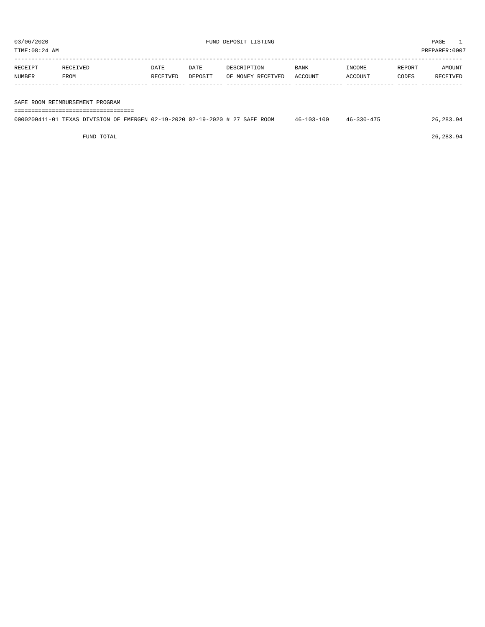TIME:08:24 AM PREPARER:0007

| RECEIPT | RECEIVED | DATE     | DATE    | DESCRIPTION       | BANK    | INCOME  | REPORT | AMOUNT   |
|---------|----------|----------|---------|-------------------|---------|---------|--------|----------|
| NUMBER  | FROM     | RECEIVED | DEPOSIT | OF MONEY RECEIVED | ACCOUNT | ACCOUNT | CODES  | RECEIVED |
|         |          |          |         |                   |         |         |        |          |
|         |          |          |         |                   |         |         |        |          |

SAFE ROOM REIMBURSEMENT PROGRAM

| 0000200411-01 TEXAS DIVISION OF EMERGEN 02-19-2020 02-19-2020 # 27 SAFE ROOM |  |  | $46 - 103 - 100$ | $46 - 330 - 475$ | 26,283.94 |  |  |  |
|------------------------------------------------------------------------------|--|--|------------------|------------------|-----------|--|--|--|

FUND TOTAL 26,283.94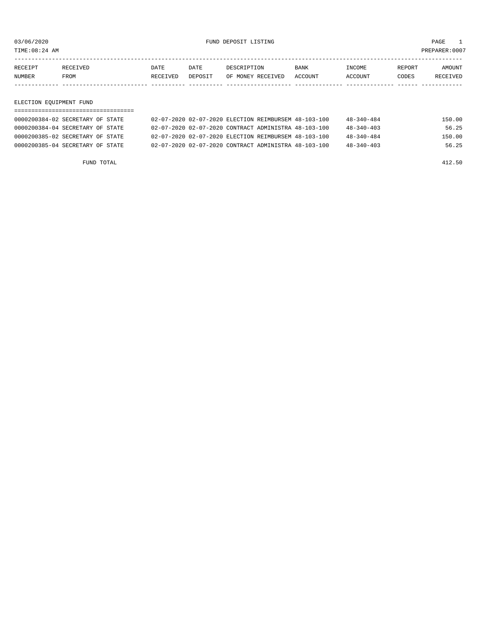TIME:08:24 AM PREPARER:0007

| RECEIPT       | RECEIVED    | DATE     | <b>DATE</b> | DESCRIPTION       | <b>BANK</b> | <b>TNCOME</b>  | REPORT | AMOUNT          |
|---------------|-------------|----------|-------------|-------------------|-------------|----------------|--------|-----------------|
| <b>NUMBER</b> | <b>FROM</b> | RECEIVED | DEPOSIT     | OF MONEY RECEIVED | ACCOUNT     | <b>ACCOUNT</b> | CODES  | <b>RECEIVED</b> |
|               |             |          |             |                   |             |                |        |                 |

#### ELECTION EQUIPMENT FUND

| 0000200384-02 SECRETARY OF STATE |  | 02-07-2020 02-07-2020 ELECTION REIMBURSEM 48-103-100 | $48 - 340 - 484$ | 150.00 |
|----------------------------------|--|------------------------------------------------------|------------------|--------|
| 0000200384-04 SECRETARY OF STATE |  | 02-07-2020 02-07-2020 CONTRACT ADMINISTRA 48-103-100 | $48 - 340 - 403$ | 56.25  |
| 0000200385-02 SECRETARY OF STATE |  | 02-07-2020 02-07-2020 ELECTION REIMBURSEM 48-103-100 | $48 - 340 - 484$ | 150.00 |
| 0000200385-04 SECRETARY OF STATE |  | 02-07-2020 02-07-2020 CONTRACT ADMINISTRA 48-103-100 | $48 - 340 - 403$ | 56.25  |

FUND TOTAL 412.50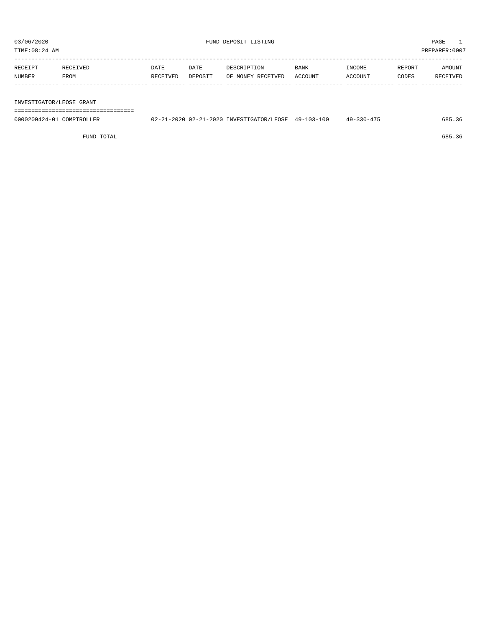| RECEIPT | RECEIVED | DATE     | DATE    | DESCRIPTION       | <b>BANK</b> | INCOME  | REPORT | AMOUNT   |
|---------|----------|----------|---------|-------------------|-------------|---------|--------|----------|
| NUMBER  | FROM     | RECEIVED | DEPOSIT | OF MONEY RECEIVED | ACCOUNT     | ACCOUNT | CODES  | RECEIVED |
|         |          |          |         |                   |             |         |        |          |
|         |          |          |         |                   |             |         |        |          |

#### INVESTIGATOR/LEOSE GRANT

===================================

| 0000200424-01<br>COMPTROLLER | 02-21-2020 02-21-2020 INVESTIGATOR/LEOSE | $49 - 103 - 100$ | $-330 - 475$<br>49- | 685 |
|------------------------------|------------------------------------------|------------------|---------------------|-----|
|                              |                                          |                  |                     |     |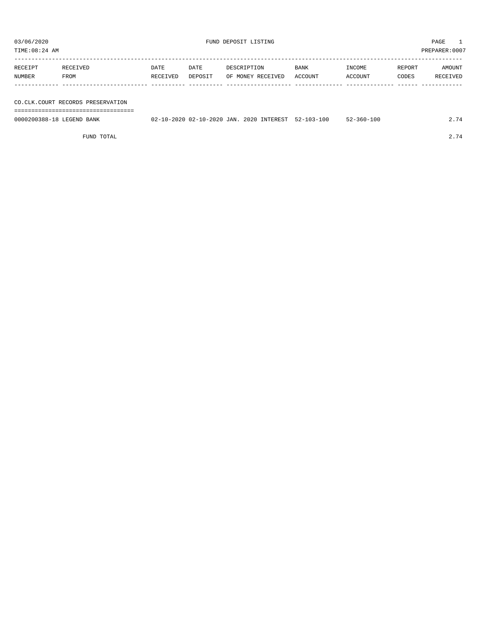| TIME:08:24 AM |          |          |         |                   |             |         |        | PREPARER: 0007  |
|---------------|----------|----------|---------|-------------------|-------------|---------|--------|-----------------|
|               |          |          |         |                   |             |         |        |                 |
| RECEIPT       | RECEIVED | DATE     | DATE    | DESCRIPTION       | <b>BANK</b> | INCOME  | REPORT | AMOUNT          |
| NUMBER        | FROM     | RECEIVED | DEPOSIT | OF MONEY RECEIVED | ACCOUNT     | ACCOUNT | CODES  | <b>RECEIVED</b> |
|               |          |          |         |                   |             |         |        |                 |

CO.CLK.COURT RECORDS PRESERVATION

===================================

| 0000200388-18 LEGEND BANK | 02-10-2020 02-10-2020 JAN. 2020 INTEREST 52-103-100 |  | $52 - 360 - 100$ | 2.74 |
|---------------------------|-----------------------------------------------------|--|------------------|------|
|                           |                                                     |  |                  |      |

FUND TOTAL 2.74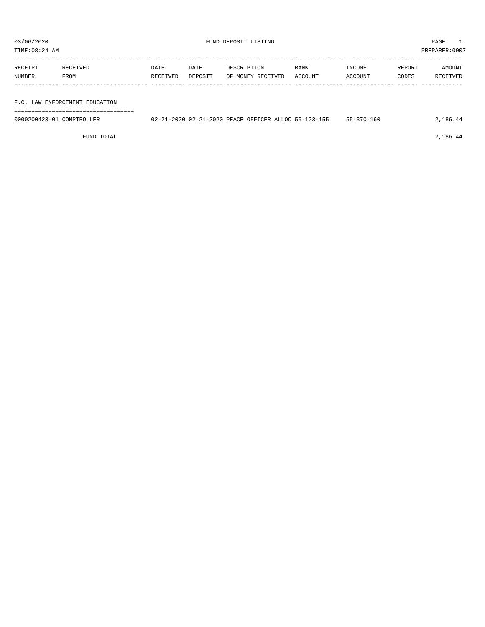03/06/2020 PAGE 1 PAGE 1 PAGE 1 PAGE 1 PAGE 1 PAGE 1 PAGE 1 PAGE 1 PAGE 1 PAGE 1 PAGE 1 PAGE 1 PAGE 1 PAGE 1 PAGE 1 PAGE 1 PAGE 1 PAGE 1 PAGE 1 PAGE 1 PAGE 1 PAGE 1 PAGE 1 PAGE 1 PAGE 1 PAGE 1 PAGE 1 PAGE 1 PAGE 1 PAGE 1 P

PREPARER:0007

| TIME:08:24 AM |  |
|---------------|--|
|               |  |

| RECEIPT       | RECEIVED                       | DATE     | DATE    | DESCRIPTION       | <b>BANK</b> | INCOME  | REPORT | AMOUNT   |
|---------------|--------------------------------|----------|---------|-------------------|-------------|---------|--------|----------|
| <b>NUMBER</b> | FROM                           | RECEIVED | DEPOSIT | OF MONEY RECEIVED | ACCOUNT     | ACCOUNT | CODES  | RECEIVED |
|               |                                |          |         |                   |             |         |        |          |
|               |                                |          |         |                   |             |         |        |          |
|               | F.C. LAW ENFORCEMENT EDUCATION |          |         |                   |             |         |        |          |

===================================

| 0000200423-01 COMPTROLLER | 02-21-2020 02-21-2020 PEACE OFFICER ALLOC 55-103-155 | 55-370-160 | 2,186.44 |
|---------------------------|------------------------------------------------------|------------|----------|
|                           |                                                      |            |          |

FUND TOTAL 2,186.44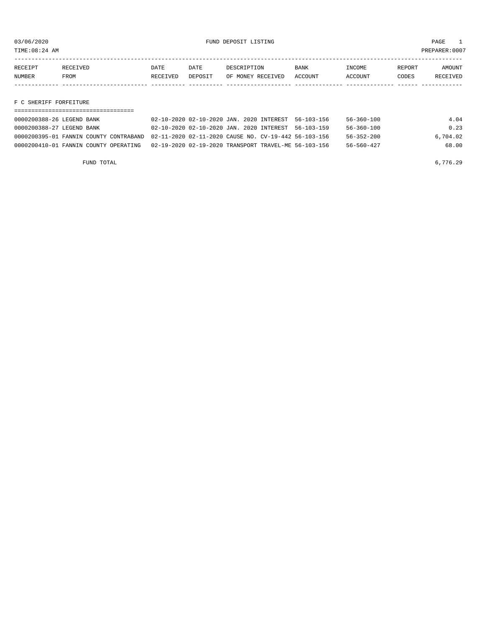TIME:08:24 AM PREPARER:0007

| RECEIPT | RECEIVED | DATE     | DATE    | DESCRIPTION       | <b>BANK</b>    | <b>NCOME</b>  | REPORT | NMOUNT          |
|---------|----------|----------|---------|-------------------|----------------|---------------|--------|-----------------|
| NUMBER  | FROM     | RECEIVED | DEPOSIT | OF MONEY RECEIVED | <b>ACCOUNT</b> | <b>CCOUNT</b> | CODES  | <b>RECEIVED</b> |
|         |          |          |         |                   |                |               |        |                 |

#### F C SHERIFF FORFEITURE

| 0000200388-26 LEGEND BANK                                                                   | 02-10-2020 02-10-2020 JAN. 2020 INTEREST 56-103-156  | 56-360-100       | 4.04     |
|---------------------------------------------------------------------------------------------|------------------------------------------------------|------------------|----------|
| 0000200388-27 LEGEND BANK                                                                   | 02-10-2020 02-10-2020 JAN. 2020 INTEREST 56-103-159  | 56-360-100       | 0.23     |
| 0000200395-01 FANNIN COUNTY CONTRABAND 02-11-2020 02-11-2020 CAUSE NO. CV-19-442 56-103-156 |                                                      | 56-352-200       | 6,704.02 |
| 0000200410-01 FANNIN COUNTY OPERATING                                                       | 02-19-2020 02-19-2020 TRANSPORT TRAVEL-ME 56-103-156 | $56 - 560 - 427$ | 68.00    |

FUND TOTAL  $6,776.29$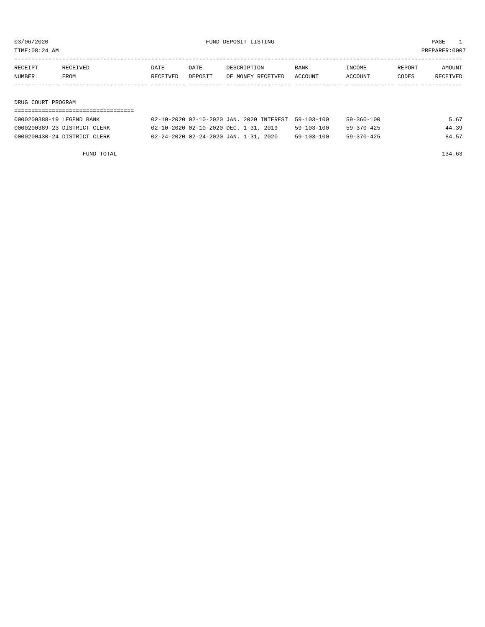TIME:08:24 AM PREPARER:0007

| RECEIPT | RECEIVED | DATE     | DATE    | DESCRIPTION       | <b>BANK</b> | INCOME         | REPORT | AMOUNT   |
|---------|----------|----------|---------|-------------------|-------------|----------------|--------|----------|
| NUMBER  | FROM     | RECEIVED | DEPOSIT | OF MONEY RECEIVED | ACCOUNT     | <b>ACCOUNT</b> | CODES  | RECEIVED |
|         |          |          |         |                   |             |                |        |          |
|         |          |          |         |                   |             |                |        |          |

#### DRUG COURT PROGRAM

| 0000200388-19 LEGEND BANK    | 02-10-2020 02-10-2020 JAN. 2020 INTEREST 59-103-100 |                  | 59-360-100       | 5.67  |
|------------------------------|-----------------------------------------------------|------------------|------------------|-------|
| 0000200389-23 DISTRICT CLERK | 02-10-2020 02-10-2020 DEC. 1-31, 2019               | $59 - 103 - 100$ | $59 - 370 - 425$ | 44.39 |
| 0000200430-24 DISTRICT CLERK | 02-24-2020 02-24-2020 JAN. 1-31, 2020               | $59 - 103 - 100$ | $59 - 370 - 425$ | 84.57 |

FUND TOTAL 134.63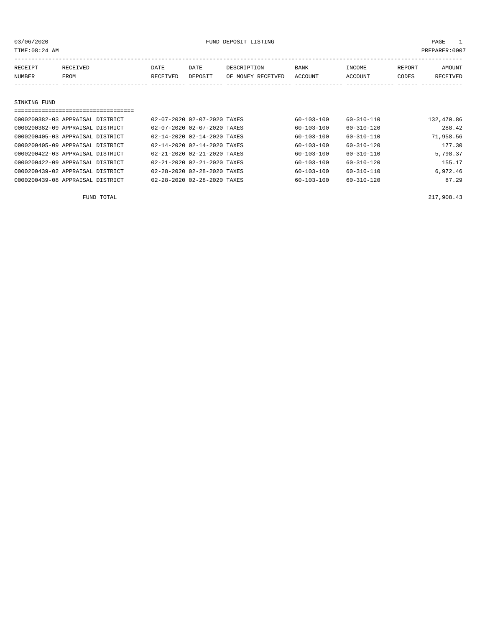| TIME: 08:24 AM    |                  |                  |                 |                                  |                 |                   |                 | PREPARER: 0007     |
|-------------------|------------------|------------------|-----------------|----------------------------------|-----------------|-------------------|-----------------|--------------------|
| RECEIPT<br>NUMBER | RECEIVED<br>FROM | DATE<br>RECEIVED | DATE<br>DEPOSIT | DESCRIPTION<br>OF MONEY RECEIVED | BANK<br>ACCOUNT | INCOME<br>ACCOUNT | REPORT<br>CODES | AMOUNT<br>RECEIVED |
|                   |                  |                  |                 |                                  |                 |                   |                 |                    |
| SINKING FUND      |                  |                  |                 |                                  |                 |                   |                 |                    |
|                   |                  |                  |                 |                                  |                 |                   |                 |                    |

| 0000200382-03 APPRAISAL DISTRICT | 02-07-2020 02-07-2020 TAXES |  | 60-103-100       | 60-310-110       | 132,470.86 |
|----------------------------------|-----------------------------|--|------------------|------------------|------------|
| 0000200382-09 APPRAISAL DISTRICT | 02-07-2020 02-07-2020 TAXES |  | $60 - 103 - 100$ | 60-310-120       | 288.42     |
| 0000200405-03 APPRAISAL DISTRICT | 02-14-2020 02-14-2020 TAXES |  | $60 - 103 - 100$ | $60 - 310 - 110$ | 71,958.56  |
| 0000200405-09 APPRAISAL DISTRICT | 02-14-2020 02-14-2020 TAXES |  | $60 - 103 - 100$ | $60 - 310 - 120$ | 177.30     |
| 0000200422-03 APPRAISAL DISTRICT | 02-21-2020 02-21-2020 TAXES |  | $60 - 103 - 100$ | $60 - 310 - 110$ | 5,798.37   |
| 0000200422-09 APPRAISAL DISTRICT | 02-21-2020 02-21-2020 TAXES |  | $60 - 103 - 100$ | $60 - 310 - 120$ | 155.17     |
| 0000200439-02 APPRAISAL DISTRICT | 02-28-2020 02-28-2020 TAXES |  | $60 - 103 - 100$ | $60 - 310 - 110$ | 6.972.46   |
| 0000200439-08 APPRAISAL DISTRICT | 02-28-2020 02-28-2020 TAXES |  | $60 - 103 - 100$ | $60 - 310 - 120$ | 87.29      |

FUND TOTAL 217,908.43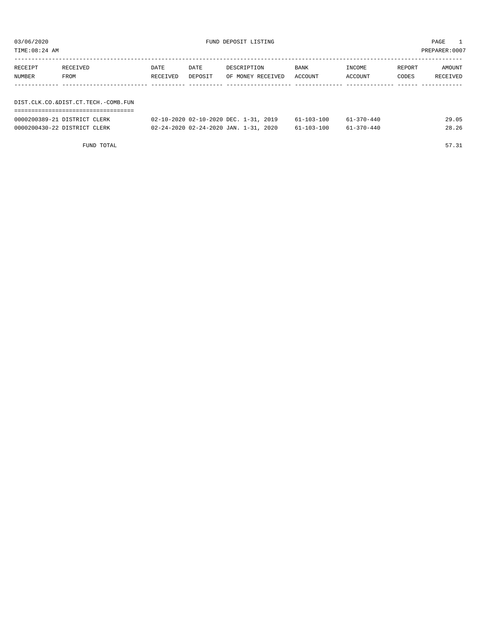| TIME:08:24 AM |                                     |          |         |                                       |            |                  |        | PREPARER: 0007 |
|---------------|-------------------------------------|----------|---------|---------------------------------------|------------|------------------|--------|----------------|
| RECEIPT       | RECEIVED                            | DATE     | DATE    | DESCRIPTION                           | BANK       | INCOME           | REPORT | AMOUNT         |
| NUMBER        | <b>FROM</b>                         | RECEIVED | DEPOSIT | OF MONEY RECEIVED                     | ACCOUNT    | ACCOUNT          | CODES  | RECEIVED       |
|               |                                     |          |         |                                       |            |                  |        |                |
|               |                                     |          |         |                                       |            |                  |        |                |
|               | DIST.CLK.CO.&DIST.CT.TECH.-COMB.FUN |          |         |                                       |            |                  |        |                |
|               |                                     |          |         |                                       |            |                  |        |                |
|               | 0000200389-21 DISTRICT CLERK        |          |         | 02-10-2020 02-10-2020 DEC. 1-31, 2019 | 61-103-100 | $61 - 370 - 440$ |        | 29.05          |

0000200430-22 DISTRICT CLERK 02-24-2020 02-24-2020 JAN. 1-31, 2020 61-103-100 61-370-440 28.26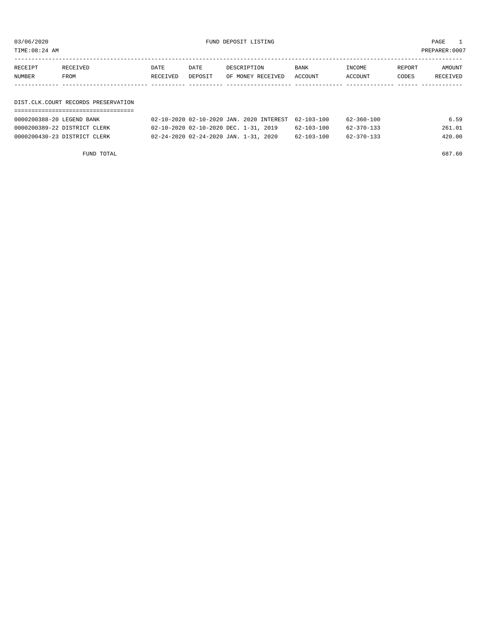03/06/2020 FUND DEPOSIT LISTING PAGE 1

| RECEIPT | RECEIVED | DATE     | DATE    | DESCRIPTION               | BANK | INCOME  | REPORT | AMOUNT   |
|---------|----------|----------|---------|---------------------------|------|---------|--------|----------|
| NUMBER  | FROM     | RECEIVED | DEPOSIT | OF MONEY RECEIVED ACCOUNT |      | ACCOUNT | CODES  | RECEIVED |
|         |          |          |         |                           |      |         |        |          |
|         |          |          |         |                           |      |         |        |          |

#### DIST.CLK.COURT RECORDS PRESERVATION ===================================

| 0000200388-20 LEGEND BANK    | 02-10-2020 02-10-2020 JAN. 2020 INTEREST 62-103-100 |  |            | 62-360-100 | 6.59   |
|------------------------------|-----------------------------------------------------|--|------------|------------|--------|
| 0000200389-22 DISTRICT CLERK | 02-10-2020 02-10-2020 DEC. 1-31, 2019               |  | 62-103-100 | 62-370-133 | 261.01 |
| 0000200430-23 DISTRICT CLERK | 02-24-2020 02-24-2020 JAN. 1-31, 2020               |  | 62-103-100 | 62-370-133 | 420.00 |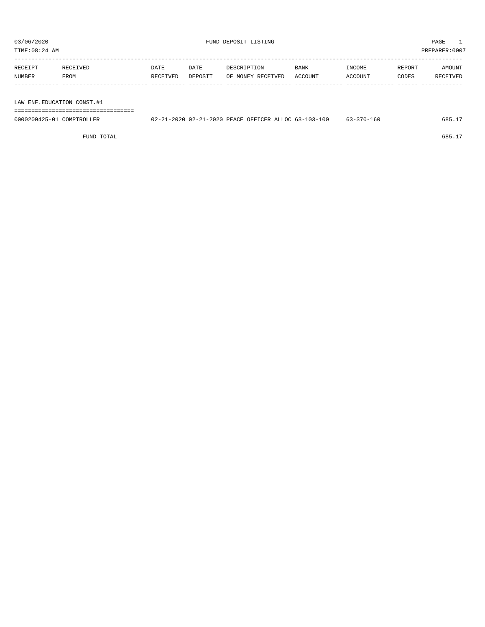| PREPARER: 0007<br>TIME:08:24 AM |          |          |         |                   |             |         |        |          |  |
|---------------------------------|----------|----------|---------|-------------------|-------------|---------|--------|----------|--|
|                                 |          |          |         |                   |             |         |        |          |  |
| RECEIPT                         | RECEIVED | DATE     | DATE    | DESCRIPTION       | <b>BANK</b> | INCOME  | REPORT | AMOUNT   |  |
| <b>NUMBER</b>                   | FROM     | RECEIVED | DEPOSIT | OF MONEY RECEIVED | ACCOUNT     | ACCOUNT | CODES  | RECEIVED |  |
|                                 |          |          |         |                   |             |         |        |          |  |
|                                 |          |          |         |                   |             |         |        |          |  |

LAW ENF.EDUCATION CONST.#1

===================================

| 0000200425-01<br>COMPTROL<br>TROLIFIR | -2020 02-21-<br>$-11$ | 1-2020 PEACE OFFICER ALLOC 63-103-100 | 160<br>$370-$ | 685.2 |
|---------------------------------------|-----------------------|---------------------------------------|---------------|-------|
|                                       |                       |                                       |               |       |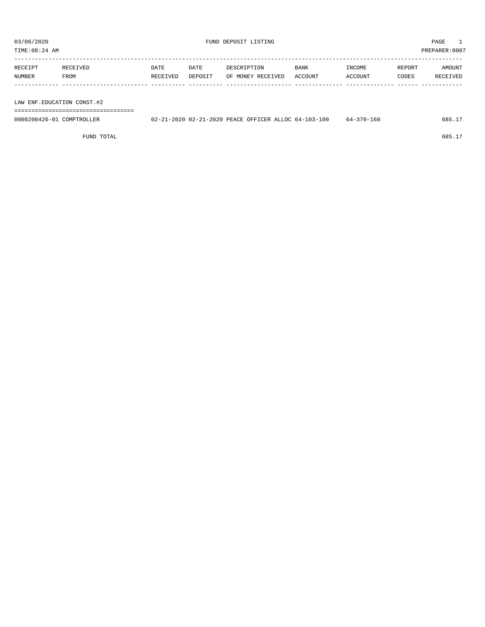| TIME:08:24 AM | PREPARER:0007 |
|---------------|---------------|
|               |               |

| RECEIPT | RECEIVED | DATE     | DATE    | DESCRIPTION       | <b>BANK</b> | INCOME  | REPORT | AMOUNT   |
|---------|----------|----------|---------|-------------------|-------------|---------|--------|----------|
| NUMBER  | FROM     | RECEIVED | DEPOSIT | OF MONEY RECEIVED | ACCOUNT     | ACCOUNT | CODES  | RECEIVED |
|         |          |          |         |                   |             |         |        |          |

LAW ENF.EDUCATION CONST.#2

===================================

| 0000200426-01<br>COMPTROLLER | .1-2020 02-21-2020 PEACE OFFICER ALLOC 64-103-100 |  | 160<br>$64 - 370 - 7$ |  |
|------------------------------|---------------------------------------------------|--|-----------------------|--|
|                              |                                                   |  |                       |  |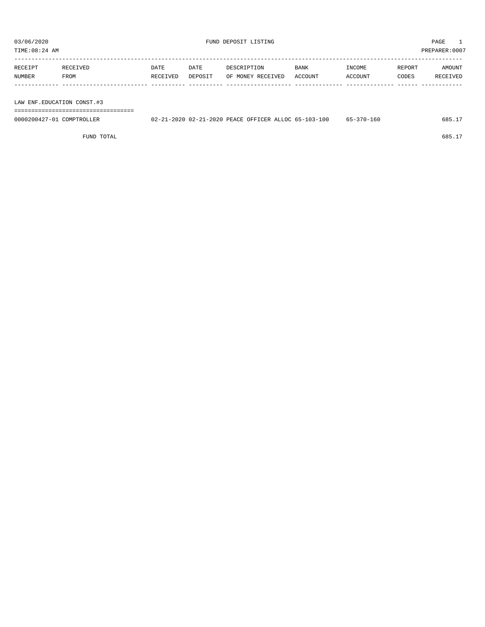| TIME:08:24 AM |          |          |         |                   |             |         |        | PREPARER:0007 |
|---------------|----------|----------|---------|-------------------|-------------|---------|--------|---------------|
| RECEIPT       | RECEIVED | DATE     | DATE    | DESCRIPTION       | <b>BANK</b> | INCOME  | REPORT | AMOUNT        |
| NUMBER        | FROM     | RECEIVED | DEPOSIT | OF MONEY RECEIVED | ACCOUNT     | ACCOUNT | CODES  | RECEIVED      |
|               |          |          |         |                   |             |         |        |               |

LAW ENF.EDUCATION CONST.#3

===================================

| 0000200427<br>COMPTROL<br>TRULLER.<br>$1 - 11$ | -2020 02-21-<br>$\sim$ $\sim$ $\sim$ | 1-2020 PEACE OFFICER ALLOC 65-103-100 | 160<br>$370-$ | 685. |
|------------------------------------------------|--------------------------------------|---------------------------------------|---------------|------|
|                                                |                                      |                                       |               |      |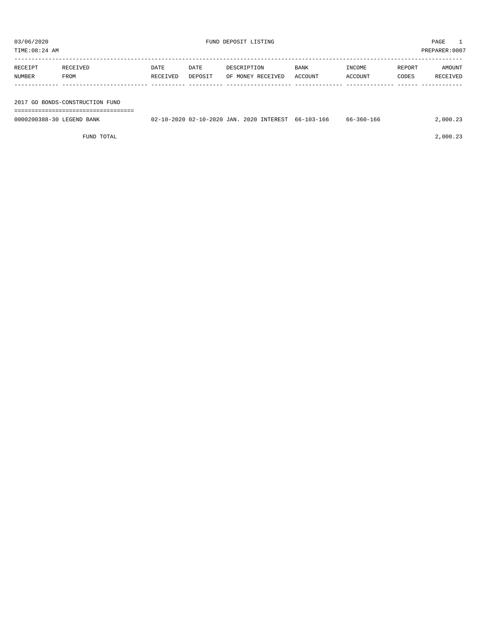| TIME:08:24 AM             |                                 |                  |                 |             |                   |                                                     |                   |                 | PREPARER:0007             |
|---------------------------|---------------------------------|------------------|-----------------|-------------|-------------------|-----------------------------------------------------|-------------------|-----------------|---------------------------|
| RECEIPT<br>NUMBER         | RECEIVED<br>FROM                | DATE<br>RECEIVED | DATE<br>DEPOSIT | DESCRIPTION | OF MONEY RECEIVED | BANK<br>ACCOUNT                                     | INCOME<br>ACCOUNT | REPORT<br>CODES | AMOUNT<br><b>RECEIVED</b> |
|                           | 2017 GO BONDS-CONSTRUCTION FUND |                  |                 |             |                   |                                                     |                   |                 |                           |
| 0000200388-30 LEGEND BANK |                                 |                  |                 |             |                   | 02-10-2020 02-10-2020 JAN. 2020 INTEREST 66-103-166 | 66-360-166        |                 | 2,000.23                  |

FUND TOTAL  $2,000.23$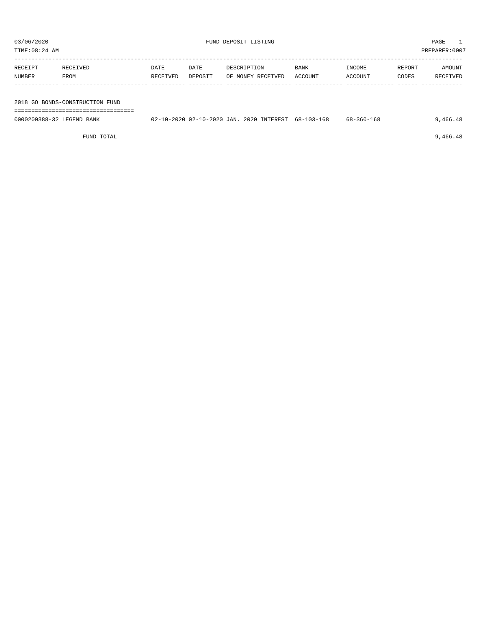| TIME:08:24 AM             | PREPARER:0007                   |          |         |  |                                          |             |            |        |          |
|---------------------------|---------------------------------|----------|---------|--|------------------------------------------|-------------|------------|--------|----------|
|                           |                                 |          |         |  |                                          |             |            |        |          |
| RECEIPT                   | RECEIVED                        | DATE     | DATE    |  | DESCRIPTION                              | <b>BANK</b> | INCOME     | REPORT | AMOUNT   |
| NUMBER                    | FROM                            | RECEIVED | DEPOSIT |  | OF MONEY RECEIVED                        | ACCOUNT     | ACCOUNT    | CODES  | RECEIVED |
|                           |                                 |          |         |  |                                          |             |            |        |          |
|                           |                                 |          |         |  |                                          |             |            |        |          |
|                           | 2018 GO BONDS-CONSTRUCTION FUND |          |         |  |                                          |             |            |        |          |
|                           |                                 |          |         |  |                                          |             |            |        |          |
| 0000200388-32 LEGEND BANK |                                 |          |         |  | 02-10-2020 02-10-2020 JAN. 2020 INTEREST | 68-103-168  | 68-360-168 |        | 9,466.48 |

FUND TOTAL  $\qquad \qquad \qquad \qquad 9,466.48$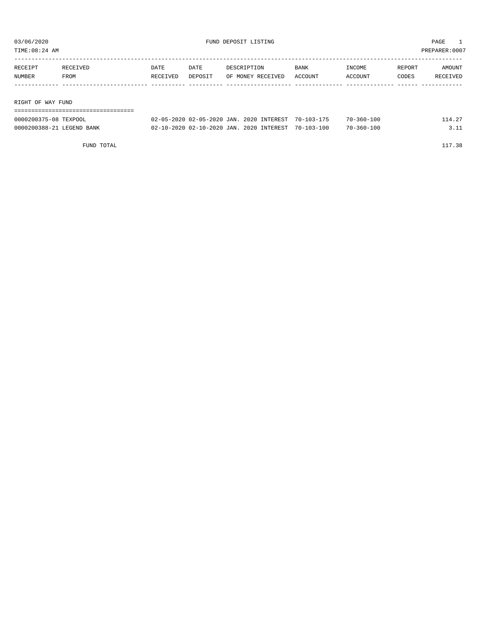| 03/06/2020<br>TIME:08:24 AM |                  |                  |                 | FUND DEPOSIT LISTING                                                                                                                                                                                                                                                                                                                                            |                 | PAGE<br>PREPARER: 0007                         |                 |                    |
|-----------------------------|------------------|------------------|-----------------|-----------------------------------------------------------------------------------------------------------------------------------------------------------------------------------------------------------------------------------------------------------------------------------------------------------------------------------------------------------------|-----------------|------------------------------------------------|-----------------|--------------------|
| RECEIPT<br>NUMBER           | RECEIVED<br>FROM | DATE<br>RECEIVED | DATE<br>DEPOSIT | DESCRIPTION<br>OF MONEY RECEIVED                                                                                                                                                                                                                                                                                                                                | BANK<br>ACCOUNT | INCOME<br>ACCOUNT                              | REPORT<br>CODES | AMOUNT<br>RECEIVED |
| RIGHT OF WAY FUND           |                  |                  |                 | $\overline{00}$ $\overline{05}$ $\overline{00}$ $\overline{00}$ $\overline{00}$ $\overline{00}$ $\overline{00}$ $\overline{00}$ $\overline{00}$ $\overline{00}$ $\overline{00}$ $\overline{00}$ $\overline{00}$ $\overline{00}$ $\overline{00}$ $\overline{00}$ $\overline{00}$ $\overline{00}$ $\overline{00}$ $\overline{00}$ $\overline{00}$ $\overline{00}$ |                 | $\Box$ $\land$ $\land$ $\land$ $\land$ $\land$ |                 |                    |

| 0000200375-08<br>TEXPOOL            | $02 - 05 - 2020$ | $02 - 05 - 2020$ JAN.                    | . 2020 INTEREST<br>$70 - 103 - 175$ | $70 - 360 - 100$ | $\sim$ |
|-------------------------------------|------------------|------------------------------------------|-------------------------------------|------------------|--------|
| 0000200388-21 LEGEND<br><b>BANK</b> |                  | 02-10-2020 02-10-2020 JAN. 2020 INTEREST | $70 - 103 - 100$                    | $70 - 360 - 100$ |        |
|                                     |                  |                                          |                                     |                  |        |

FUND TOTAL 117.38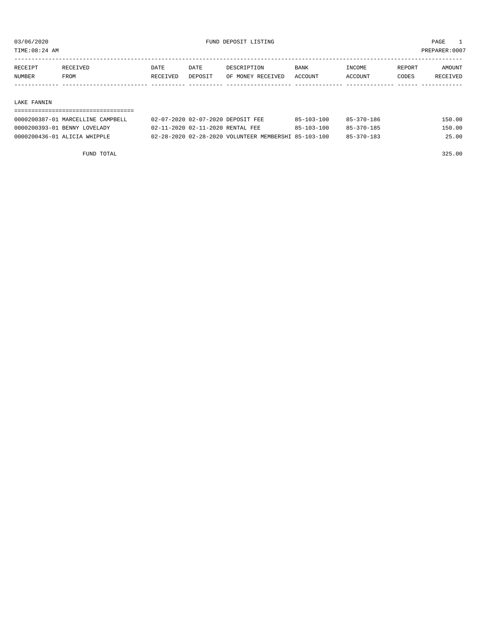TIME:08:24 AM PREPARER:0007

| RECEIPT       | <b>RECEIVED</b> | DATE     | DATE    | DESCRIPTION       | BANK    | <b>TNCOME</b>  | REPORT | AMOUNT   |
|---------------|-----------------|----------|---------|-------------------|---------|----------------|--------|----------|
| <b>NUMBER</b> | FROM            | RECEIVED | DEPOSIT | OF MONEY RECEIVED | ACCOUNT | <b>ACCOUNT</b> | CODES  | RECEIVED |
|               |                 |          |         |                   |         |                |        |          |

#### LAKE FANNIN

| 0000200387-01 MARCELLINE CAMPBELL | 02-07-2020 02-07-2020 DEPOSIT FEE                    | 85-103-100 | 85-370-186 | 150.00 |
|-----------------------------------|------------------------------------------------------|------------|------------|--------|
| 0000200393-01 BENNY LOVELADY      | 02-11-2020 02-11-2020 RENTAL FEE                     | 85-103-100 | 85-370-185 | 150.00 |
| 0000200436-01 ALICIA WHIPPLE      | 02-28-2020 02-28-2020 VOLUNTEER MEMBERSHI 85-103-100 |            | 85-370-183 | 25.00  |

FUND TOTAL 325.00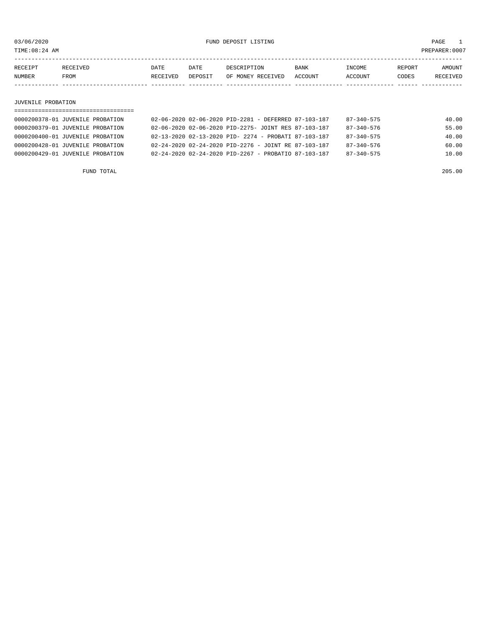| TIME: 08: |  |      |      |  |             |               | PREPARER: 0007 |               |
|-----------|--|------|------|--|-------------|---------------|----------------|---------------|
|           |  | DATE | DATE |  | <b>BANK</b> | רי זור<br>วMF | REPORT         | <b>MOTINT</b> |

| RACAIP. |      | ப⊢⊥ட | ⊡דאח    | T NIJ                | <b>DAIVA</b> | LIVUUME | REPUR. | UULN. |
|---------|------|------|---------|----------------------|--------------|---------|--------|-------|
| NUMBER  | FROM |      | דדפ∩פקר | 'VEI<br>M∩NFV<br>าਜ਼ | ACCOUNT      | CCOUNT  | CODES  |       |
|         |      |      |         |                      |              |         |        |       |

#### JUVENILE PROBATION

| 0000200378-01 JUVENILE PROBATION | 02-06-2020 02-06-2020 PID-2281 - DEFERRED 87-103-187             | $87 - 340 - 575$ | 40.00 |
|----------------------------------|------------------------------------------------------------------|------------------|-------|
| 0000200379-01 JUVENILE PROBATION | 02-06-2020 02-06-2020 PID-2275- JOINT RES 87-103-187             | $87 - 340 - 576$ | 55.00 |
| 0000200400-01 JUVENILE PROBATION | 02-13-2020 02-13-2020 PID- 2274 - PROBATI 87-103-187             | $87 - 340 - 575$ | 40.00 |
| 0000200428-01 JUVENILE PROBATION | $02 - 24 - 2020$ $02 - 24 - 2020$ PID-2276 - JOINT RE 87-103-187 | $87 - 340 - 576$ | 60.00 |
| 0000200429-01 JUVENILE PROBATION | $02 - 24 - 2020$ $02 - 24 - 2020$ PID-2267 - PROBATIO 87-103-187 | $87 - 340 - 575$ | 10.00 |
|                                  |                                                                  |                  |       |

FUND TOTAL 205.00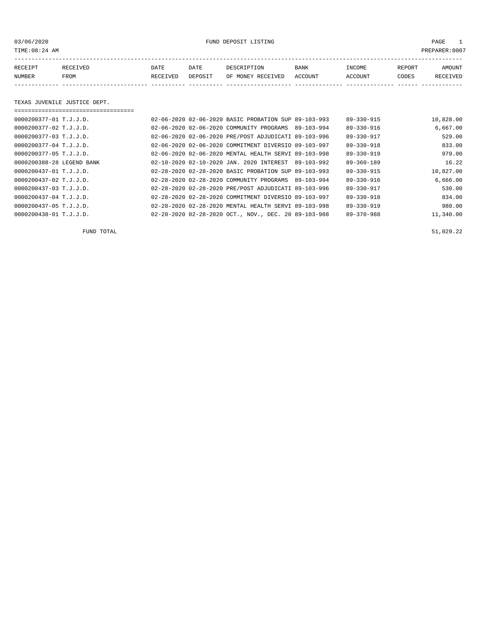03/06/2020 FUND DEPOSIT LISTING PAGE 1

| RECEIPT | <b>RECEIVED</b> | DATE            | DATE    | DESCRIPTION       | <b>BANK</b> | <b>INCOME</b> | REPORT | AMOUNT          |
|---------|-----------------|-----------------|---------|-------------------|-------------|---------------|--------|-----------------|
| NUMBER  | FROM            | <b>RECEIVED</b> | DEPOSIT | OF MONEY RECEIVED | ACCOUNT     | ACCOUNT       | CODES  | <b>RECEIVED</b> |
|         |                 |                 |         |                   |             |               |        |                 |

#### TEXAS JUVENILE JUSTICE DEPT.

| ============================ |  |                                                      |            |                  |           |
|------------------------------|--|------------------------------------------------------|------------|------------------|-----------|
| $0000200377 - 01$ T.J.J.D.   |  | 02-06-2020 02-06-2020 BASIC PROBATION SUP 89-103-993 |            | $89 - 330 - 915$ | 10,828.00 |
| 0000200377-02 T.J.J.D.       |  | 02-06-2020 02-06-2020 COMMUNITY PROGRAMS             | 89-103-994 | 89-330-916       | 6,667.00  |
| $0000200377 - 03$ T.J.J.D.   |  | 02-06-2020 02-06-2020 PRE/POST ADJUDICATI 89-103-996 |            | 89-330-917       | 529.00    |
| 0000200377-04 T.J.J.D.       |  | 02-06-2020 02-06-2020 COMMITMENT DIVERSIO 89-103-997 |            | $89 - 330 - 918$ | 833.00    |
| 0000200377-05 T.J.J.D.       |  | 02-06-2020 02-06-2020 MENTAL HEALTH SERVI 89-103-998 |            | $89 - 330 - 919$ | 979.00    |
| 0000200388-28 LEGEND BANK    |  | 02-10-2020 02-10-2020 JAN. 2020 INTEREST 89-103-992  |            | $89 - 360 - 189$ | 16.22     |
| $0000200437 - 01$ T.J.J.D.   |  | 02-28-2020 02-28-2020 BASIC PROBATION SUP 89-103-993 |            | $89 - 330 - 915$ | 10,827.00 |
| $0000200437 - 02$ T.J.J.D.   |  | 02-28-2020 02-28-2020 COMMUNITY PROGRAMS             | 89-103-994 | $89 - 330 - 916$ | 6,666.00  |
| $0000200437 - 03$ T.J.J.D.   |  | 02-28-2020 02-28-2020 PRE/POST ADJUDICATI 89-103-996 |            | 89-330-917       | 530.00    |
| 0000200437-04 T.J.J.D.       |  | 02-28-2020 02-28-2020 COMMITMENT DIVERSIO 89-103-997 |            | $89 - 330 - 918$ | 834.00    |
| 0000200437-05 T.J.J.D.       |  | 02-28-2020 02-28-2020 MENTAL HEALTH SERVI 89-103-998 |            | $89 - 330 - 919$ | 980.00    |
| 0000200438-01 T.J.J.D.       |  | 02-28-2020 02-28-2020 OCT., NOV., DEC. 20 89-103-988 |            | $89 - 370 - 988$ | 11,340.00 |

FUND TOTAL  $51,029.22$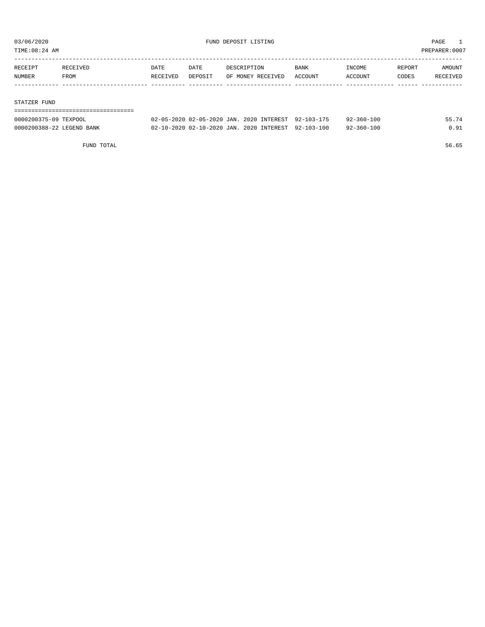TIME:08:24 AM PREPARER:0007

| RECEIPT | RECEIVED | <b>DATE</b> | DATE    | DESCRIPTION       | BANK    | INCOME  | REPORT | AMOUNT   |
|---------|----------|-------------|---------|-------------------|---------|---------|--------|----------|
| NUMBER  | FROM     | RECEIVED    | DEPOSIT | OF MONEY RECEIVED | ACCOUNT | ACCOUNT | CODES  | RECEIVED |
|         |          |             |         |                   |         |         |        |          |
|         |          |             |         |                   |         |         |        |          |

#### STATZER FUND

| ================================ |                                                     |  |                  |       |
|----------------------------------|-----------------------------------------------------|--|------------------|-------|
| 0000200375-09 TEXPOOL            | 02-05-2020 02-05-2020 JAN. 2020 INTEREST 92-103-175 |  | $92 - 360 - 100$ | 55.74 |
| 0000200388-22 LEGEND BANK        | 02-10-2020 02-10-2020 JAN, 2020 INTEREST 92-103-100 |  | 92-360-100       | 0.91  |

FUND TOTAL 56.65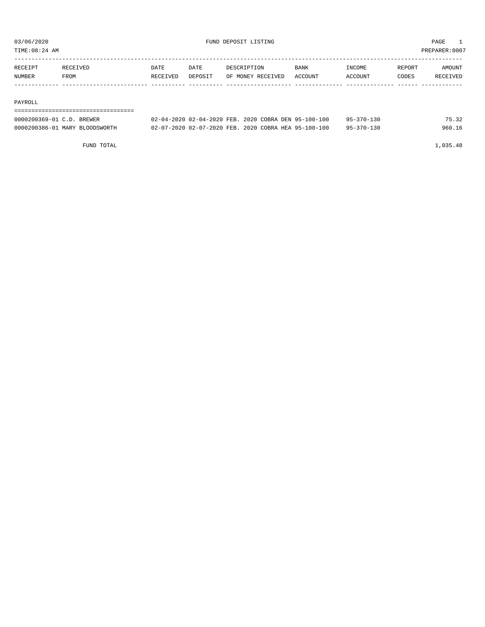TIME:08:24 AM PREPARER:0007

| RECEIPT | RECEIVED | DATE     | DATE    | DESCRIPTION       | <b>BANK</b> | <b>INCOME</b> | REPORT | AMOUNT          |
|---------|----------|----------|---------|-------------------|-------------|---------------|--------|-----------------|
| NUMBER  | FROM     | RECEIVED | DEPOSIT | OF MONEY RECEIVED | ACCOUNT     | ACCOUNT       | CODES  | <b>RECEIVED</b> |
|         |          |          |         |                   |             |               |        |                 |

#### PAYROLL

===================================

| 0000200369-01 C.D. BREWER      | 02-04-2020 02-04-2020 FEB. 2020 COBRA DEN 95-100-100 | $95 - 370 - 130$ | 75.32  |
|--------------------------------|------------------------------------------------------|------------------|--------|
| 0000200386-01 MARY BLOODSWORTH | 02-07-2020 02-07-2020 FEB. 2020 COBRA HEA 95-100-100 | $95 - 370 - 130$ | 960.16 |

FUND TOTAL 1,035.48